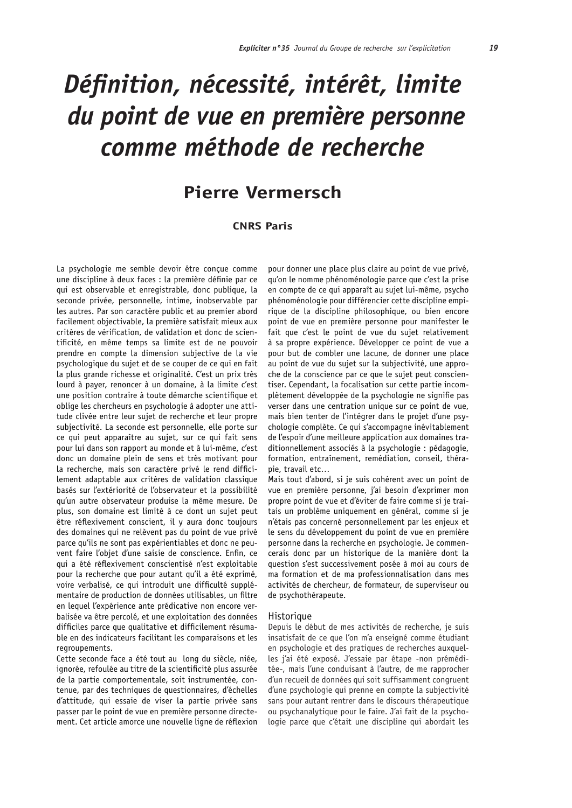# Définition, nécessité, intérêt, limite du point de vue en première personne comme méthode de recherche

# **Pierre Vermersch**

# **CNRS Paris**

La psychologie me semble devoir être concue comme une discipline à deux faces : la première définie par ce qui est observable et enregistrable, donc publique, la seconde privée, personnelle, intime, inobservable par les autres. Par son caractère public et au premier abord facilement objectivable, la première satisfait mieux aux critères de vérification, de validation et donc de scientificité, en même temps sa limite est de ne pouvoir prendre en compte la dimension subjective de la vie psychologique du suiet et de se couper de ce qui en fait la plus grande richesse et originalité. C'est un prix très lourd à payer, renoncer à un domaine, à la limite c'est une position contraire à toute démarche scientifique et oblige les chercheurs en psychologie à adopter une attitude clivée entre leur sujet de recherche et leur propre subjectivité. La seconde est personnelle, elle porte sur ce qui peut apparaître au sujet, sur ce qui fait sens pour lui dans son rapport au monde et à lui-même, c'est donc un domaine plein de sens et très motivant pour la recherche, mais son caractère privé le rend difficilement adaptable aux critères de validation classique basés sur l'extériorité de l'observateur et la possibilité qu'un autre observateur produise la même mesure. De plus, son domaine est limité à ce dont un sujet peut être réflexivement conscient, il y aura donc toujours des domaines qui ne relèvent pas du point de vue privé parce qu'ils ne sont pas expérientiables et donc ne peuvent faire l'objet d'une saisie de conscience. Enfin, ce qui a été réflexivement conscientisé n'est exploitable pour la recherche que pour autant qu'il a été exprimé, voire verbalisé, ce qui introduit une difficulté supplémentaire de production de données utilisables, un filtre en lequel l'expérience ante prédicative non encore verbalisée va être percolé, et une exploitation des données difficiles parce que qualitative et difficilement résumable en des indicateurs facilitant les comparaisons et les regroupements.

Cette seconde face a été tout au long du siècle, niée, ignorée, refoulée au titre de la scientificité plus assurée de la partie comportementale, soit instrumentée, contenue, par des techniques de questionnaires, d'échelles d'attitude, qui essaie de viser la partie privée sans passer par le point de vue en première personne directement. Cet article amorce une nouvelle ligne de réflexion

pour donner une place plus claire au point de vue privé, qu'on le nomme phénoménologie parce que c'est la prise en compte de ce qui apparaît au sujet lui-même, psycho phénoménologie pour différencier cette discipline empirique de la discipline philosophique, ou bien encore point de vue en première personne pour manifester le fait que c'est le point de vue du sujet relativement à sa propre expérience. Développer ce point de vue a pour but de combler une lacune, de donner une place au point de vue du suiet sur la subiectivité, une approche de la conscience par ce que le sujet peut conscientiser. Cependant, la focalisation sur cette partie incomplètement développée de la psychologie ne signifie pas verser dans une centration unique sur ce point de vue, mais bien tenter de l'intégrer dans le projet d'une psychologie complète. Ce qui s'accompagne inévitablement de l'espoir d'une meilleure application aux domaines traditionnellement associés à la psychologie : pédagogie, formation, entraînement, remédiation, conseil, thérapie, travail etc...

Mais tout d'abord, si je suis cohérent avec un point de vue en première personne, j'ai besoin d'exprimer mon propre point de vue et d'éviter de faire comme si je traitais un problème uniquement en général, comme si je n'étais pas concerné personnellement par les enjeux et le sens du développement du point de vue en première personne dans la recherche en psychologie. Je commencerais donc par un historique de la manière dont la question s'est successivement posée à moi au cours de ma formation et de ma professionnalisation dans mes activités de chercheur, de formateur, de superviseur ou de psychothérapeute.

#### Historique

Depuis le début de mes activités de recherche, je suis insatisfait de ce que l'on m'a enseigné comme étudiant en psychologie et des pratiques de recherches auxquelles j'ai été exposé. J'essaie par étape -non préméditée-, mais l'une conduisant à l'autre, de me rapprocher d'un recueil de données qui soit suffisamment congruent d'une psychologie qui prenne en compte la subjectivité sans pour autant rentrer dans le discours thérapeutique ou psychanalytique pour le faire. J'ai fait de la psychologie parce que c'était une discipline qui abordait les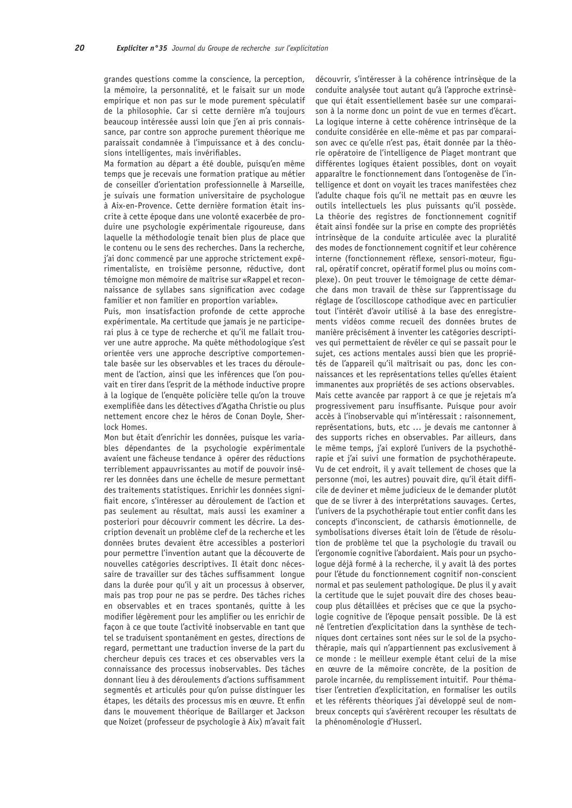20

grandes questions comme la conscience, la perception, la mémoire, la personnalité, et le faisait sur un mode empirique et non pas sur le mode purement spéculatif de la philosophie. Car si cette dernière m'a toujours beaucoup intéressée aussi loin que j'en ai pris connaissance, par contre son approche purement théorique me paraissait condamnée à l'impuissance et à des conclusions intelligentes, mais invérifiables.

Ma formation au départ a été double, puisqu'en même temps que je recevais une formation pratique au métier de conseiller d'orientation professionnelle à Marseille, je suivais une formation universitaire de psycholoque à Aix-en-Provence. Cette dernière formation était inscrite à cette époque dans une volonté exacerbée de produire une psychologie expérimentale rigoureuse, dans laquelle la méthodologie tenait bien plus de place que le contenu ou le sens des recherches. Dans la recherche, j'ai donc commencé par une approche strictement expérimentaliste, en troisième personne, réductive, dont témoigne mon mémoire de maîtrise sur «Rappel et reconnaissance de syllabes sans signification avec codage familier et non familier en proportion variable».

Puis, mon insatisfaction profonde de cette approche expérimentale. Ma certitude que jamais je ne participerai plus à ce type de recherche et qu'il me fallait trouver une autre approche. Ma quête méthodologique s'est orientée vers une approche descriptive comportementale basée sur les observables et les traces du déroulement de l'action, ainsi que les inférences que l'on pouvait en tirer dans l'esprit de la méthode inductive propre à la logique de l'enquête policière telle qu'on la trouve exemplifiée dans les détectives d'Agatha Christie ou plus nettement encore chez le héros de Conan Doyle, Sherlock Homes.

Mon but était d'enrichir les données, puisque les variables dépendantes de la psychologie expérimentale avaient une fâcheuse tendance à opérer des réductions terriblement appauvrissantes au motif de pouvoir insérer les données dans une échelle de mesure permettant des traitements statistiques. Enrichir les données signifiait encore, s'intéresser au déroulement de l'action et pas seulement au résultat, mais aussi les examiner a posteriori pour découvrir comment les décrire. La description devenait un problème clef de la recherche et les données brutes devaient être accessibles a posteriori pour permettre l'invention autant que la découverte de nouvelles catégories descriptives. Il était donc nécessaire de travailler sur des tâches suffisamment longue dans la durée pour qu'il y ait un processus à observer, mais pas trop pour ne pas se perdre. Des tâches riches en observables et en traces spontanés, quitte à les modifier légèrement pour les amplifier ou les enrichir de façon à ce que toute l'activité inobservable en tant que tel se traduisent spontanément en gestes, directions de regard, permettant une traduction inverse de la part du chercheur depuis ces traces et ces observables vers la connaissance des processus inobservables. Des tâches donnant lieu à des déroulements d'actions suffisamment segmentés et articulés pour qu'on puisse distinguer les étapes, les détails des processus mis en œuvre. Et enfin dans le mouvement théorique de Baillarger et Jackson que Noizet (professeur de psychologie à Aix) m'avait fait découvrir, s'intéresser à la cohérence intrinsèque de la conduite analysée tout autant qu'à l'approche extrinsèque qui était essentiellement basée sur une comparaison à la norme donc un point de vue en termes d'écart. La logique interne à cette cohérence intrinsèque de la conduite considérée en elle-même et pas par comparaison avec ce qu'elle n'est pas, était donnée par la théorie opératoire de l'intelligence de Piaget montrant que différentes logiques étaient possibles, dont on voyait apparaître le fonctionnement dans l'ontogenèse de l'intelligence et dont on voyait les traces manifestées chez l'adulte chaque fois qu'il ne mettait pas en œuvre les outils intellectuels les plus puissants qu'il possède. La théorie des registres de fonctionnement cognitif était ainsi fondée sur la prise en compte des propriétés intrinsèque de la conduite articulée avec la pluralité des modes de fonctionnement cognitif et leur cohérence interne (fonctionnement réflexe, sensori-moteur, figural, opératif concret, opératif formel plus ou moins complexe). On peut trouver le témoignage de cette démarche dans mon travail de thèse sur l'apprentissage du réglage de l'oscilloscope cathodique avec en particulier tout l'intérêt d'avoir utilisé à la base des enregistrements vidéos comme recueil des données brutes de manière précisément à inventer les catégories descriptives qui permettaient de révéler ce qui se passait pour le suiet, ces actions mentales aussi bien que les propriétés de l'appareil qu'il maîtrisait ou pas, donc les connaissances et les représentations telles qu'elles étaient immanentes aux propriétés de ses actions observables. Mais cette avancée par rapport à ce que je rejetais m'a progressivement paru insuffisante. Puisque pour avoir accès à l'inobservable qui m'intéressait : raisonnement, représentations, buts, etc ... je devais me cantonner à des supports riches en observables. Par ailleurs, dans le même temps, j'ai exploré l'univers de la psychothérapie et j'ai suivi une formation de psychothérapeute. Vu de cet endroit, il y avait tellement de choses que la personne (moi, les autres) pouvait dire, qu'il était difficile de deviner et même judicieux de le demander plutôt que de se livrer à des interprétations sauvages. Certes, l'univers de la psychothérapie tout entier confit dans les concepts d'inconscient, de catharsis émotionnelle, de symbolisations diverses était loin de l'étude de résolution de problème tel que la psychologie du travail ou l'ergonomie cognitive l'abordaient. Mais pour un psychologue déjà formé à la recherche, il y avait là des portes pour l'étude du fonctionnement cognitif non-conscient normal et pas seulement pathologique. De plus il y avait la certitude que le suiet pouvait dire des choses beaucoup plus détaillées et précises que ce que la psychologie cognitive de l'époque pensait possible. De là est né l'entretien d'explicitation dans la synthèse de techniques dont certaines sont nées sur le sol de la psychothérapie, mais qui n'appartiennent pas exclusivement à ce monde : le meilleur exemple étant celui de la mise en œuvre de la mémoire concrète, de la position de parole incarnée, du remplissement intuitif. Pour thématiser l'entretien d'explicitation, en formaliser les outils et les référents théoriques j'ai développé seul de nombreux concepts qui s'avérèrent recouper les résultats de la phénoménologie d'Husserl.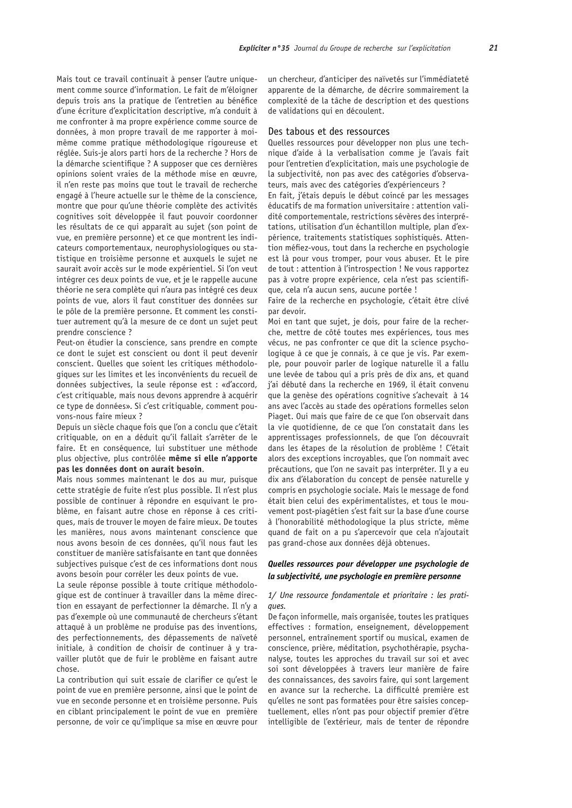Mais tout ce travail continuait à penser l'autre uniquement comme source d'information. Le fait de m'éloigner depuis trois ans la pratique de l'entretien au bénéfice d'une écriture d'explicitation descriptive, m'a conduit à me confronter à ma propre expérience comme source de données, à mon propre travail de me rapporter à moimême comme pratique méthodologique rigoureuse et réglée. Suis-je alors parti hors de la recherche ? Hors de la démarche scientifique ? A supposer que ces dernières opinions soient vraies de la méthode mise en œuvre, il n'en reste pas moins que tout le travail de recherche engagé à l'heure actuelle sur le thème de la conscience, montre que pour qu'une théorie complète des activités cognitives soit développée il faut pouvoir coordonner les résultats de ce qui apparaît au sujet (son point de vue, en première personne) et ce que montrent les indicateurs comportementaux, neurophysiologiques ou statistique en troisième personne et auxquels le sujet ne saurait avoir accès sur le mode expérientiel. Si l'on veut intégrer ces deux points de vue, et je le rappelle aucune théorie ne sera complète qui n'aura pas intégré ces deux points de vue, alors il faut constituer des données sur le pôle de la première personne. Et comment les constituer autrement qu'à la mesure de ce dont un sujet peut prendre conscience?

Peut-on étudier la conscience, sans prendre en compte ce dont le sujet est conscient ou dont il peut devenir conscient. Quelles que soient les critiques méthodologiques sur les limites et les inconvénients du recueil de données subjectives, la seule réponse est : «d'accord, c'est critiquable, mais nous devons apprendre à acquérir ce type de données». Si c'est critiquable, comment pouvons-nous faire mieux ?

Depuis un siècle chaque fois que l'on a conclu que c'était critiquable, on en a déduit qu'il fallait s'arrêter de le faire. Et en conséquence, lui substituer une méthode plus objective, plus contrôlée même si elle n'apporte pas les données dont on aurait besoin.

Mais nous sommes maintenant le dos au mur, puisque cette stratégie de fuite n'est plus possible. Il n'est plus possible de continuer à répondre en esquivant le problème, en faisant autre chose en réponse à ces critiques, mais de trouver le moyen de faire mieux. De toutes les manières, nous avons maintenant conscience que nous avons besoin de ces données, qu'il nous faut les constituer de manière satisfaisante en tant que données subjectives puisque c'est de ces informations dont nous avons besoin pour corréler les deux points de vue.

La seule réponse possible à toute critique méthodologique est de continuer à travailler dans la même direction en essavant de perfectionner la démarche. Il n'y a pas d'exemple où une communauté de chercheurs s'étant attaqué à un problème ne produise pas des inventions, des perfectionnements, des dépassements de naïveté initiale, à condition de choisir de continuer à y travailler plutôt que de fuir le problème en faisant autre chose

La contribution qui suit essaie de clarifier ce qu'est le point de vue en première personne, ainsi que le point de vue en seconde personne et en troisième personne. Puis en ciblant principalement le point de vue en première personne, de voir ce qu'implique sa mise en œuvre pour

un chercheur, d'anticiper des naïvetés sur l'immédiateté apparente de la démarche, de décrire sommairement la complexité de la tâche de description et des questions de validations qui en découlent.

# Des tabous et des ressources

Quelles ressources pour développer non plus une technique d'aide à la verbalisation comme je l'avais fait pour l'entretien d'explicitation, mais une psychologie de la subjectivité, non pas avec des catégories d'observateurs, mais avec des catégories d'expérienceurs ?

En fait, j'étais depuis le début coincé par les messages éducatifs de ma formation universitaire : attention validité comportementale, restrictions sévères des interprétations, utilisation d'un échantillon multiple, plan d'expérience, traitements statistiques sophistiqués. Attention méfiez-vous, tout dans la recherche en psychologie est là pour vous tromper, pour vous abuser. Et le pire de tout : attention à l'introspection ! Ne vous rapportez pas à votre propre expérience, cela n'est pas scientifique, cela n'a aucun sens, aucune portée !

Faire de la recherche en psychologie, c'était être clivé par devoir.

Moi en tant que sujet, je dois, pour faire de la recherche, mettre de côté toutes mes expériences, tous mes vécus, ne pas confronter ce que dit la science psychologique à ce que je connais, à ce que je vis. Par exemple, pour pouvoir parler de logique naturelle il a fallu une levée de tabou qui a pris près de dix ans, et quand j'ai débuté dans la recherche en 1969, il était convenu que la genèse des opérations cognitive s'achevait à 14 ans avec l'accès au stade des opérations formelles selon Piaget. Oui mais que faire de ce que l'on observait dans la vie quotidienne, de ce que l'on constatait dans les apprentissages professionnels, de que l'on découvrait dans les étapes de la résolution de problème ! C'était alors des exceptions incroyables, que l'on nommait avec précautions, que l'on ne savait pas interpréter. Il y a eu dix ans d'élaboration du concept de pensée naturelle y compris en psychologie sociale. Mais le message de fond était bien celui des expérimentalistes, et tous le mouvement post-piagétien s'est fait sur la base d'une course à l'honorabilité méthodologique la plus stricte, même quand de fait on a pu s'apercevoir que cela n'ajoutait pas grand-chose aux données déjà obtenues.

# Quelles ressources pour développer une psychologie de la subjectivité, une psychologie en première personne

## 1/ Une ressource fondamentale et prioritaire : les prati $q \in \mathcal{L}$

De façon informelle, mais organisée, toutes les pratiques effectives : formation, enseignement, développement personnel, entraînement sportif ou musical, examen de conscience, prière, méditation, psychothérapie, psychanalyse, toutes les approches du travail sur soi et avec soi sont développées à travers leur manière de faire des connaissances, des savoirs faire, qui sont largement en avance sur la recherche. La difficulté première est qu'elles ne sont pas formatées pour être saisies conceptuellement, elles n'ont pas pour objectif premier d'être intelligible de l'extérieur, mais de tenter de répondre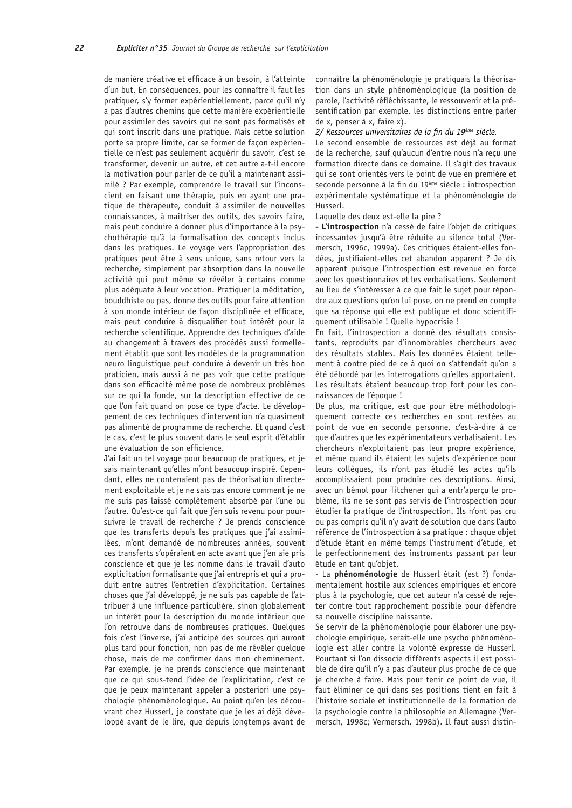22

de manière créative et efficace à un besoin, à l'atteinte d'un but. En conséquences, pour les connaître il faut les pratiquer, s'y former expérientiellement, parce qu'il n'y a pas d'autres chemins que cette manière expérientielle pour assimiler des savoirs qui ne sont pas formalisés et qui sont inscrit dans une pratique. Mais cette solution porte sa propre limite, car se former de façon expérientielle ce n'est pas seulement acquérir du savoir, c'est se transformer, devenir un autre, et cet autre a-t-il encore la motivation pour parler de ce qu'il a maintenant assimilé ? Par exemple, comprendre le travail sur l'inconscient en faisant une thérapie, puis en ayant une pratique de thérapeute, conduit à assimiler de nouvelles connaissances, à maîtriser des outils, des savoirs faire, mais peut conduire à donner plus d'importance à la psychothérapie qu'à la formalisation des concepts inclus dans les pratiques. Le voyage vers l'appropriation des pratiques peut être à sens unique, sans retour vers la recherche, simplement par absorption dans la nouvelle activité qui peut même se révéler à certains comme plus adéquate à leur vocation. Pratiquer la méditation, bouddhiste ou pas, donne des outils pour faire attention à son monde intérieur de façon disciplinée et efficace, mais peut conduire à disqualifier tout intérêt pour la recherche scientifique. Apprendre des techniques d'aide au changement à travers des procédés aussi formellement établit que sont les modèles de la programmation neuro linguistique peut conduire à devenir un très bon praticien, mais aussi à ne pas voir que cette pratique dans son efficacité même pose de nombreux problèmes sur ce qui la fonde, sur la description effective de ce que l'on fait quand on pose ce type d'acte. Le développement de ces techniques d'intervention n'a quasiment pas alimenté de programme de recherche. Et quand c'est le cas, c'est le plus souvent dans le seul esprit d'établir une évaluation de son efficience.

J'ai fait un tel voyage pour beaucoup de pratiques, et je sais maintenant qu'elles m'ont beaucoup inspiré. Cependant, elles ne contenaient pas de théorisation directement exploitable et je ne sais pas encore comment je ne me suis pas laissé complètement absorbé par l'une ou l'autre. Qu'est-ce qui fait que j'en suis revenu pour poursuivre le travail de recherche ? Je prends conscience que les transferts depuis les pratiques que j'ai assimilées, m'ont demandé de nombreuses années, souvent ces transferts s'opéraient en acte avant que j'en aie pris conscience et que je les nomme dans le travail d'auto explicitation formalisante que j'ai entrepris et qui a produit entre autres l'entretien d'explicitation. Certaines choses que j'ai développé, je ne suis pas capable de l'attribuer à une influence particulière, sinon globalement un intérêt pour la description du monde intérieur que l'on retrouve dans de nombreuses pratiques. Quelques fois c'est l'inverse, j'ai anticipé des sources qui auront plus tard pour fonction, non pas de me révéler quelque chose, mais de me confirmer dans mon cheminement. Par exemple, je ne prends conscience que maintenant que ce qui sous-tend l'idée de l'explicitation, c'est ce que je peux maintenant appeler a posteriori une psychologie phénoménologique. Au point qu'en les découvrant chez Husserl, je constate que je les aj déjà développé avant de le lire, que depuis longtemps avant de connaître la phénoménologie je pratiquais la théorisation dans un style phénoménologique (la position de parole, l'activité réfléchissante, le ressouvenir et la présentification par exemple, les distinctions entre parler de x, penser à x, faire x).

#### 2/ Ressources universitaires de la fin du 19ème siècle.

Le second ensemble de ressources est déjà au format de la recherche, sauf qu'aucun d'entre nous n'a recu une formation directe dans ce domaine. Il s'agit des travaux qui se sont orientés vers le point de vue en première et seconde personne à la fin du 19<sup>ème</sup> siècle : introspection expérimentale systématique et la phénoménologie de Husserl.

# Laquelle des deux est-elle la pire ?

- L'introspection n'a cessé de faire l'obiet de critiques incessantes jusqu'à être réduite au silence total (Vermersch, 1996c, 1999a). Ces critiques étaient-elles fondées, justifiaient-elles cet abandon apparent ? Je dis apparent puisque l'introspection est revenue en force avec les questionnaires et les verbalisations. Seulement au lieu de s'intéresser à ce que fait le sujet pour répondre aux questions qu'on lui pose, on ne prend en compte que sa réponse qui elle est publique et donc scientifiquement utilisable ! Quelle hypocrisie !

En fait, l'introspection a donné des résultats consistants, reproduits par d'innombrables chercheurs avec des résultats stables. Mais les données étaient tellement à contre pied de ce à quoi on s'attendait qu'on a été débordé par les interrogations qu'elles apportaient. Les résultats étaient beaucoup trop fort pour les connaissances de l'époque !

De plus, ma critique, est que pour être méthodologiquement correcte ces recherches en sont restées au point de vue en seconde personne, c'est-à-dire à ce que d'autres que les expérimentateurs verbalisaient. Les chercheurs n'exploitaient pas leur propre expérience, et même quand ils étaient les sujets d'expérience pour leurs collègues, ils n'ont pas étudié les actes qu'ils accomplissaient pour produire ces descriptions. Ainsi, avec un bémol pour Titchener qui a entr'apercu le problème, ils ne se sont pas servis de l'introspection pour étudier la pratique de l'introspection. Ils n'ont pas cru ou pas compris qu'il n'y avait de solution que dans l'auto référence de l'introspection à sa pratique : chaque objet d'étude étant en même temps l'instrument d'étude, et le perfectionnement des instruments passant par leur étude en tant qu'objet.

- La phénoménologie de Husserl était (est ?) fondamentalement hostile aux sciences empiriques et encore plus à la psychologie, que cet auteur n'a cessé de rejeter contre tout rapprochement possible pour défendre sa nouvelle discipline naissante.

Se servir de la phénoménologie pour élaborer une psychologie empirique, serait-elle une psycho phénoménologie est aller contre la volonté expresse de Husserl. Pourtant si l'on dissocie différents aspects il est possible de dire qu'il n'y a pas d'auteur plus proche de ce que je cherche à faire. Mais pour tenir ce point de vue, il faut éliminer ce qui dans ses positions tient en fait à l'histoire sociale et institutionnelle de la formation de La psychologie contre la philosophie en Allemagne (Vermersch, 1998c; Vermersch, 1998b). Il faut aussi distin-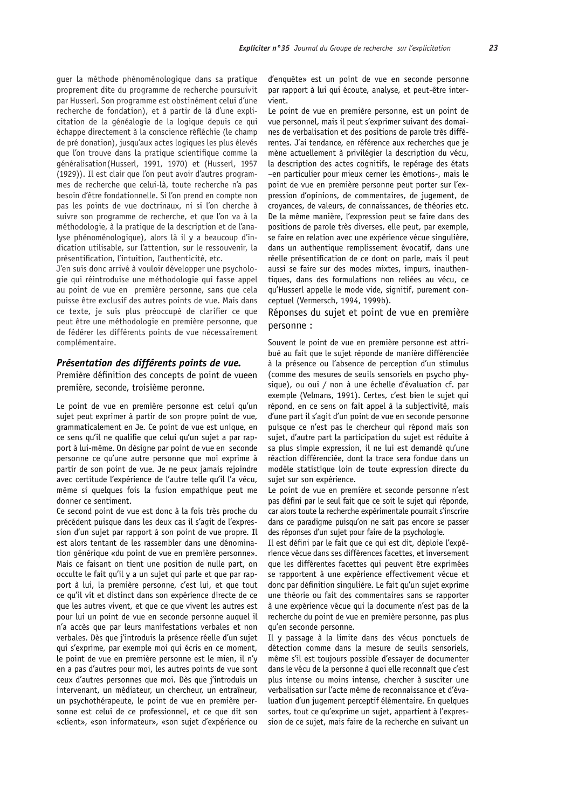quer la méthode phénoménologique dans sa pratique proprement dite du programme de recherche poursuivit par Husserl. Son programme est obstinément celui d'une recherche de fondation), et à partir de là d'une explicitation de la généalogie de la logique depuis ce qui échappe directement à la conscience réfléchie (le champ de pré donation), jusqu'aux actes logiques les plus élevés que l'on trouve dans la pratique scientifique comme la généralisation(Husserl, 1991, 1970) et (Husserl, 1957 (1929)). Il est clair que l'on peut avoir d'autres programmes de recherche que celui-là, toute recherche n'a pas besoin d'être fondationnelle. Si l'on prend en compte non pas les points de vue doctrinaux, ni si l'on cherche à suivre son programme de recherche, et que l'on va à la méthodologie, à la pratique de la description et de l'analyse phénoménologique), alors là il y a beaucoup d'indication utilisable, sur l'attention, sur le ressouvenir, la présentification, l'intuition, l'authenticité, etc.

J'en suis donc arrivé à vouloir développer une psychologie qui réintroduise une méthodologie qui fasse appel au point de vue en première personne, sans que cela puisse être exclusif des autres points de vue. Mais dans ce texte, je suis plus préoccupé de clarifier ce que peut être une méthodologie en première personne, que de fédérer les différents points de vue nécessairement complémentaire.

## Présentation des différents points de vue.

Première définition des concepts de point de vueen première, seconde, troisième peronne.

Le point de vue en première personne est celui qu'un sujet peut exprimer à partir de son propre point de vue, grammaticalement en Je. Ce point de vue est unique, en ce sens qu'il ne qualifie que celui qu'un sujet a par rapport à lui-même. On désigne par point de vue en seconde personne ce qu'une autre personne que moi exprime à partir de son point de vue. Je ne peux jamais rejoindre avec certitude l'expérience de l'autre telle qu'il l'a vécu. même si quelques fois la fusion empathique peut me donner ce sentiment.

Ce second point de vue est donc à la fois très proche du précédent puisque dans les deux cas il s'agit de l'expression d'un sujet par rapport à son point de vue propre. Il est alors tentant de les rassembler dans une dénomination générique «du point de vue en première personne». Mais ce faisant on tient une position de nulle part, on occulte le fait qu'il y a un sujet qui parle et que par rapport à lui, la première personne, c'est lui, et que tout ce qu'il vit et distinct dans son expérience directe de ce que les autres vivent, et que ce que vivent les autres est pour lui un point de vue en seconde personne auquel il n'a accès que par leurs manifestations verbales et non verbales. Dès que j'introduis la présence réelle d'un sujet qui s'exprime, par exemple moi qui écris en ce moment, le point de vue en première personne est le mien, il n'y en a pas d'autres pour moi, les autres points de vue sont ceux d'autres personnes que moi. Dès que j'introduis un intervenant, un médiateur, un chercheur, un entraîneur, un psychothérapeute, le point de vue en première personne est celui de ce professionnel, et ce que dit son «client», «son informateur», «son sujet d'expérience ou

d'enquête» est un point de vue en seconde personne par rapport à lui qui écoute, analyse, et peut-être intervient.

Le point de vue en première personne, est un point de vue personnel, mais il peut s'exprimer suivant des domaines de verbalisation et des positions de parole très différentes. J'ai tendance, en référence aux recherches que je mène actuellement à privilégier la description du vécu, la description des actes cognitifs, le repérage des états -en particulier pour mieux cerner les émotions-, mais le point de vue en première personne peut porter sur l'expression d'opinions, de commentaires, de jugement, de croyances, de valeurs, de connaissances, de théories etc. De la même manière, l'expression peut se faire dans des positions de parole très diverses, elle peut, par exemple, se faire en relation avec une expérience vécue singulière, dans un authentique remplissement évocatif, dans une réelle présentification de ce dont on parle, mais il peut aussi se faire sur des modes mixtes, impurs, inauthentiques, dans des formulations non reliées au vécu, ce qu'Husserl appelle le mode vide, signitif, purement conceptuel (Vermersch, 1994, 1999b).

Réponses du suiet et point de vue en première personne:

Souvent le point de vue en première personne est attribué au fait que le suiet réponde de manière différenciée à la présence ou l'absence de perception d'un stimulus (comme des mesures de seuils sensoriels en psycho physique), ou oui / non à une échelle d'évaluation cf. par exemple (Velmans, 1991). Certes, c'est bien le sujet qui répond, en ce sens on fait appel à la subjectivité, mais d'une part il s'agit d'un point de vue en seconde personne puisque ce n'est pas le chercheur qui répond mais son sujet, d'autre part la participation du sujet est réduite à sa plus simple expression, il ne lui est demandé qu'une réaction différenciée, dont la trace sera fondue dans un modèle statistique loin de toute expression directe du suiet sur son expérience.

Le point de vue en première et seconde personne n'est pas défini par le seul fait que ce soit le sujet qui réponde, car alors toute la recherche expérimentale pourrait s'inscrire dans ce paradigme puisqu'on ne sait pas encore se passer des réponses d'un sujet pour faire de la psychologie.

Il est défini par le fait que ce qui est dit, déploie l'expérience vécue dans ses différences facettes, et inversement que les différentes facettes qui peuvent être exprimées se rapportent à une expérience effectivement vécue et donc par définition singulière. Le fait qu'un sujet exprime une théorie ou fait des commentaires sans se rapporter à une expérience vécue qui la documente n'est pas de la recherche du point de vue en première personne, pas plus qu'en seconde personne.

Il y passage à la limite dans des vécus ponctuels de détection comme dans la mesure de seuils sensoriels, même s'il est toujours possible d'essayer de documenter dans le vécu de la personne à quoi elle reconnaît que c'est plus intense ou moins intense, chercher à susciter une verbalisation sur l'acte même de reconnaissance et d'évaluation d'un jugement perceptif élémentaire. En quelques sortes, tout ce qu'exprime un suiet, appartient à l'expression de ce sujet, mais faire de la recherche en suivant un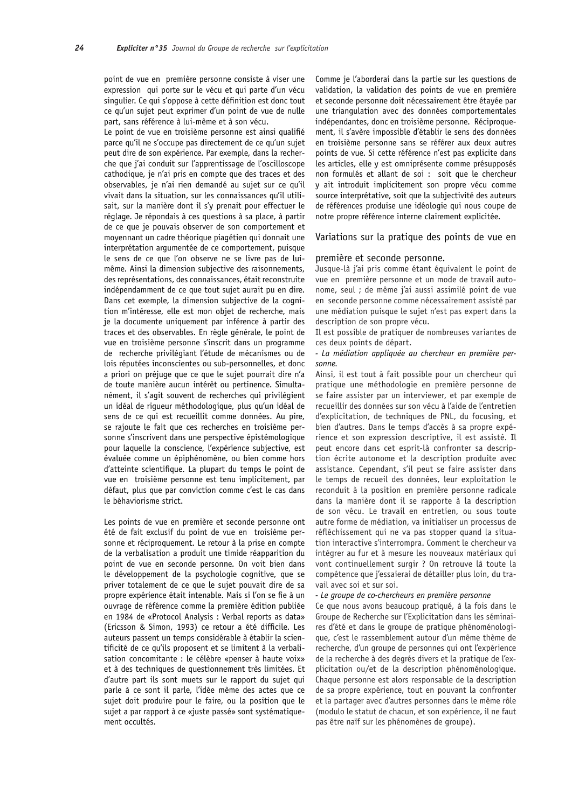point de vue en première personne consiste à viser une expression qui porte sur le vécu et qui parte d'un vécu singulier. Ce qui s'oppose à cette définition est donc tout ce qu'un sujet peut exprimer d'un point de vue de nulle part, sans référence à lui-même et à son vécu.

Le point de vue en troisième personne est ainsi qualifié parce qu'il ne s'occupe pas directement de ce qu'un sujet peut dire de son expérience. Par exemple, dans la recherche que j'ai conduit sur l'apprentissage de l'oscilloscope cathodique, je n'ai pris en compte que des traces et des observables, je n'ai rien demandé au sujet sur ce qu'il vivait dans la situation, sur les connaissances qu'il utilisait, sur la manière dont il s'y prenait pour effectuer le réglage. Je répondais à ces questions à sa place, à partir de ce que je pouvais observer de son comportement et movennant un cadre théorique piagétien qui donnait une interprétation arqumentée de ce comportement, puisque le sens de ce que l'on observe ne se livre pas de luimême. Ainsi la dimension subjective des raisonnements, des représentations, des connaissances, était reconstruite indépendamment de ce que tout sujet aurait pu en dire. Dans cet exemple, la dimension subjective de la cognition m'intéresse, elle est mon objet de recherche, mais je la documente uniquement par inférence à partir des traces et des observables. En règle générale, le point de vue en troisième personne s'inscrit dans un programme de recherche privilégiant l'étude de mécanismes ou de lois réputées inconscientes ou sub-personnelles, et donc a priori on préjuge que ce que le sujet pourrait dire n'a de toute manière aucun intérêt ou pertinence. Simultanément, il s'agit souvent de recherches qui privilégient un idéal de rigueur méthodologique, plus qu'un idéal de sens de ce qui est recueillit comme données. Au pire, se rajoute le fait que ces recherches en troisième personne s'inscrivent dans une perspective épistémologique pour laquelle la conscience, l'expérience subjective, est évaluée comme un épiphénomène, ou bien comme hors d'atteinte scientifique. La plupart du temps le point de vue en troisième personne est tenu implicitement, par défaut, plus que par conviction comme c'est le cas dans le béhaviorisme strict.

Les points de vue en première et seconde personne ont été de fait exclusif du point de vue en troisième personne et réciproquement. Le retour à la prise en compte de la verbalisation a produit une timide réapparition du point de vue en seconde personne. On voit bien dans le développement de la psychologie cognitive, que se priver totalement de ce que le sujet pouvait dire de sa propre expérience était intenable. Mais si l'on se fie à un ouvrage de référence comme la première édition publiée en 1984 de «Protocol Analysis : Verbal reports as data» (Ericsson & Simon, 1993) ce retour a été difficile. Les auteurs passent un temps considérable à établir la scientificité de ce qu'ils proposent et se limitent à la verbalisation concomitante : le célèbre «penser à haute voix» et à des techniques de questionnement très limitées. Et d'autre part ils sont muets sur le rapport du sujet qui parle à ce sont il parle, l'idée même des actes que ce sujet doit produire pour le faire, ou la position que le sujet a par rapport à ce «juste passé» sont systématiquement occultés.

Comme je l'aborderai dans la partie sur les questions de validation, la validation des points de vue en première et seconde personne doit nécessairement être étayée par une triangulation avec des données comportementales indépendantes, donc en troisième personne. Réciproquement, il s'avère impossible d'établir le sens des données en troisième personne sans se référer aux deux autres points de vue. Si cette référence n'est pas explicite dans les articles, elle y est omniprésente comme présupposés non formulés et allant de soi : soit que le chercheur v ait introduit implicitement son propre vécu comme source interprétative, soit que la subjectivité des auteurs de références produise une idéologie qui nous coupe de notre propre référence interne clairement explicitée.

Variations sur la pratique des points de vue en

#### première et seconde personne.

Jusque-là j'ai pris comme étant équivalent le point de vue en première personne et un mode de travail autonome, seul ; de même j'ai aussi assimilé point de vue en seconde personne comme nécessairement assisté par une médiation puisque le sujet n'est pas expert dans la description de son propre vécu.

Il est possible de pratiquer de nombreuses variantes de ces deux points de départ.

- La médiation appliquée au chercheur en première personne.

Ainsi, il est tout à fait possible pour un chercheur qui pratique une méthodologie en première personne de se faire assister par un interviewer, et par exemple de recueillir des données sur son vécu à l'aide de l'entretien d'explicitation, de techniques de PNL, du focusing, et bien d'autres. Dans le temps d'accès à sa propre expérience et son expression descriptive, il est assisté. Il peut encore dans cet esprit-là confronter sa description écrite autonome et la description produite avec assistance. Cependant, s'il peut se faire assister dans le temps de recueil des données, leur exploitation le reconduit à la position en première personne radicale dans la manière dont il se rapporte à la description de son vécu. Le travail en entretien, ou sous toute autre forme de médiation, va initialiser un processus de réfléchissement qui ne va pas stopper quand la situation interactive s'interrompra. Comment le chercheur va intégrer au fur et à mesure les nouveaux matériaux qui vont continuellement surgir ? On retrouve là toute la compétence que j'essaierai de détailler plus loin, du travail avec soi et sur soi.

#### - Le groupe de co-chercheurs en première personne

Ce que nous avons beaucoup pratiqué, à la fois dans le Groupe de Recherche sur l'Explicitation dans les séminaires d'été et dans le groupe de pratique phénoménologique, c'est le rassemblement autour d'un même thème de recherche, d'un groupe de personnes qui ont l'expérience de la recherche à des degrés divers et la pratique de l'explicitation ou/et de la description phénoménologique. Chaque personne est alors responsable de la description de sa propre expérience, tout en pouvant la confronter et la partager avec d'autres personnes dans le même rôle (modulo le statut de chacun, et son expérience, il ne faut pas être naïf sur les phénomènes de groupe).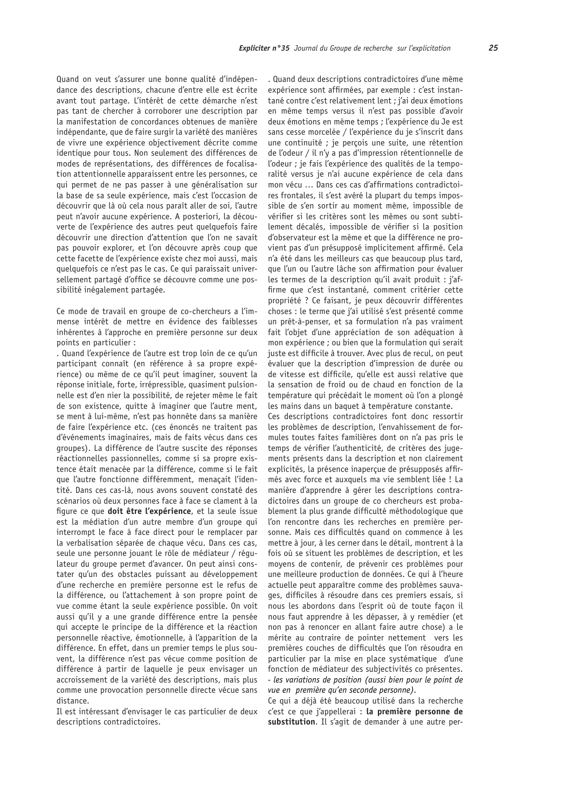Quand on veut s'assurer une bonne qualité d'indépendance des descriptions, chacune d'entre elle est écrite avant tout partage. L'intérêt de cette démarche n'est pas tant de chercher à corroborer une description par la manifestation de concordances obtenues de manière indépendante, que de faire surgir la variété des manières de vivre une expérience objectivement décrite comme identique pour tous. Non seulement des différences de modes de représentations, des différences de focalisation attentionnelle apparaissent entre les personnes, ce qui permet de ne pas passer à une généralisation sur la base de sa seule expérience, mais c'est l'occasion de découvrir que là où cela nous paraît aller de soi, l'autre peut n'avoir aucune expérience. A posteriori, la découverte de l'expérience des autres peut quelquefois faire découvrir une direction d'attention que l'on ne savait pas pouvoir explorer, et l'on découvre après coup que cette facette de l'expérience existe chez moi aussi, mais quelquefois ce n'est pas le cas. Ce qui paraissait universellement partagé d'office se découvre comme une possibilité inégalement partagée.

Ce mode de travail en groupe de co-chercheurs a l'immense intérêt de mettre en évidence des faiblesses inhérentes à l'approche en première personne sur deux points en particulier :

. Quand l'expérience de l'autre est trop loin de ce qu'un participant connaît (en référence à sa propre expérience) ou même de ce qu'il peut imaginer, souvent la réponse initiale, forte, irrépressible, quasiment pulsionnelle est d'en nier la possibilité, de rejeter même le fait de son existence, quitte à imaginer que l'autre ment, se ment à lui-même, n'est pas honnête dans sa manière de faire l'expérience etc. (ces énoncés ne traitent pas d'événements imaginaires, mais de faits vécus dans ces groupes). La différence de l'autre suscite des réponses réactionnelles passionnelles, comme si sa propre existence était menacée par la différence, comme si le fait que l'autre fonctionne différemment, menacait l'identité. Dans ces cas-là, nous avons souvent constaté des scénarios où deux personnes face à face se clament à la fiqure ce que doit être l'expérience, et la seule issue est la médiation d'un autre membre d'un groupe qui interrompt le face à face direct pour le remplacer par la verbalisation séparée de chaque vécu. Dans ces cas, seule une personne jouant le rôle de médiateur / régulateur du groupe permet d'avancer. On peut ainsi constater qu'un des obstacles puissant au développement d'une recherche en première personne est le refus de la différence, ou l'attachement à son propre point de vue comme étant la seule expérience possible. On voit aussi qu'il y a une grande différence entre la pensée qui accepte le principe de la différence et la réaction personnelle réactive, émotionnelle, à l'apparition de la différence. En effet, dans un premier temps le plus souvent, la différence n'est pas vécue comme position de différence à partir de laquelle je peux envisager un accroissement de la variété des descriptions, mais plus comme une provocation personnelle directe vécue sans distance.

Il est intéressant d'envisager le cas particulier de deux descriptions contradictoires.

. Quand deux descriptions contradictoires d'une même expérience sont affirmées, par exemple : c'est instantané contre c'est relativement lent ; j'ai deux émotions en même temps versus il n'est pas possible d'avoir deux émotions en même temps ; l'expérience du Je est sans cesse morcelée / l'expérience du je s'inscrit dans une continuité ; je perçois une suite, une rétention de l'odeur / il n'y a pas d'impression rétentionnelle de l'odeur ; je fais l'expérience des qualités de la temporalité versus je n'ai aucune expérience de cela dans mon vécu ... Dans ces cas d'affirmations contradictoires frontales, il s'est avéré la plupart du temps impossible de s'en sortir au moment même, impossible de vérifier si les critères sont les mêmes ou sont subtilement décalés, impossible de vérifier si la position d'observateur est la même et que la différence ne provient pas d'un présupposé implicitement affirmé. Cela n'a été dans les meilleurs cas que beaucoup plus tard, que l'un ou l'autre lâche son affirmation pour évaluer les termes de la description qu'il avait produit : j'affirme que c'est instantané, comment critérier cette propriété ? Ce faisant, je peux découvrir différentes choses : le terme que j'ai utilisé s'est présenté comme un prêt-à-penser, et sa formulation n'a pas vraiment fait l'objet d'une appréciation de son adéquation à mon expérience ; ou bien que la formulation qui serait juste est difficile à trouver. Avec plus de recul, on peut évaluer que la description d'impression de durée ou de vitesse est difficile, qu'elle est aussi relative que la sensation de froid ou de chaud en fonction de la température qui précédait le moment où l'on a plongé les mains dans un baquet à température constante.

Ces descriptions contradictoires font donc ressortir les problèmes de description, l'envahissement de formules toutes faites familières dont on n'a pas pris le temps de vérifier l'authenticité, de critères des jugements présents dans la description et non clairement explicités, la présence inapercue de présupposés affirmés avec force et auxquels ma vie semblent liée ! La manière d'apprendre à gérer les descriptions contradictoires dans un groupe de co chercheurs est probablement la plus grande difficulté méthodologique que l'on rencontre dans les recherches en première personne. Mais ces difficultés quand on commence à les mettre à jour, à les cerner dans le détail, montrent à la fois où se situent les problèmes de description, et les moyens de contenir, de prévenir ces problèmes pour une meilleure production de données. Ce qui à l'heure actuelle peut apparaître comme des problèmes sauvages, difficiles à résoudre dans ces premiers essais, si nous les abordons dans l'esprit où de toute façon il nous faut apprendre à les dépasser, à y remédier (et non pas à renoncer en allant faire autre chose) a le mérite au contraire de pointer nettement vers les premières couches de difficultés que l'on résoudra en particulier par la mise en place systématique d'une fonction de médiateur des subjectivités co présentes. - les variations de position (aussi bien pour le point de vue en première qu'en seconde personne).

Ce qui a déjà été beaucoup utilisé dans la recherche c'est ce que j'appellerai : la première personne de substitution. Il s'agit de demander à une autre per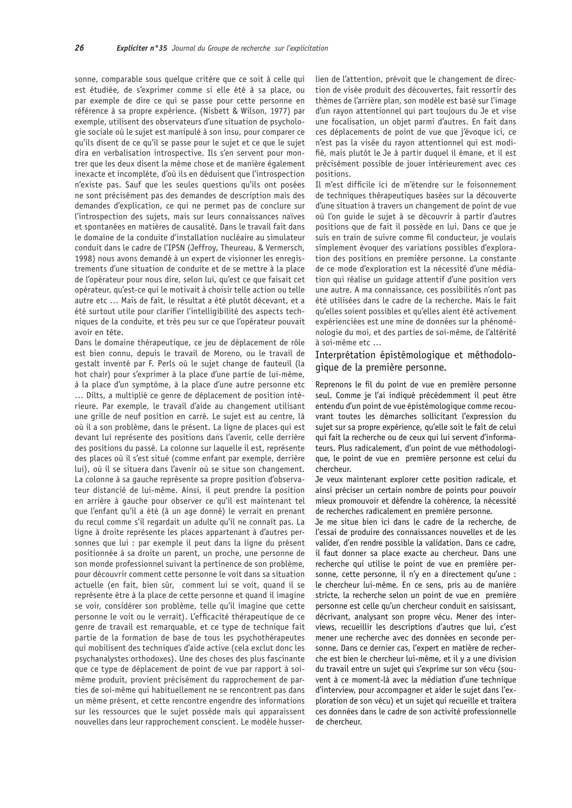sonne, comparable sous quelque critère que ce soit à celle qui est étudiée, de s'exprimer comme si elle été à sa place, ou par exemple de dire ce qui se passe pour cette personne en référence à sa propre expérience. (Nisbett & Wilson, 1977) par exemple, utilisent des observateurs d'une situation de psychologie sociale où le sujet est manipulé à son insu, pour comparer ce qu'ils disent de ce qu'il se passe pour le sujet et ce que le sujet dira en verbalisation introspective. Ils s'en servent pour montrer que les deux disent la même chose et de manière également inexacte et incomplète, d'où ils en déduisent que l'introspection n'existe pas. Sauf que les seules questions qu'ils ont posées ne sont précisément pas des demandes de description mais des demandes d'explication, ce qui ne permet pas de conclure sur l'introspection des sujets, mais sur leurs connaissances naïves et spontanées en matières de causalité. Dans le travail fait dans le domaine de la conduite d'installation nucléaire au simulateur conduit dans le cadre de l'IPSN (Jeffroy, Theureau, & Vermersch, 1998) nous avons demandé à un expert de visionner les enregistrements d'une situation de conduite et de se mettre à la place de l'opérateur pour nous dire, selon lui, qu'est ce que faisait cet opérateur, qu'est-ce qui le motivait à choisir telle action ou telle autre etc ... Mais de fait, le résultat a été plutôt décevant, et a été surtout utile pour clarifier l'intelligibilité des aspects techniques de la conduite, et très peu sur ce que l'opérateur pouvait avoir en tête.

Dans le domaine thérapeutique, ce jeu de déplacement de rôle est bien connu, depuis le travail de Moreno, ou le travail de gestalt inventé par F. Perls où le suiet change de fauteuil (la hot chair) pour s'exprimer à la place d'une partie de lui-même, à la place d'un symptôme, à la place d'une autre personne etc ... Dilts, a multiplié ce genre de déplacement de position intérieure. Par exemple, le travail d'aide au changement utilisant une grille de neuf position en carré. Le sujet est au centre, là où il a son problème, dans le présent. La ligne de places qui est devant lui représente des positions dans l'avenir, celle derrière des positions du passé. La colonne sur laquelle il est, représente des places où il s'est situé (comme enfant par exemple, derrière lui), où il se situera dans l'avenir où se situe son changement. La colonne à sa gauche représente sa propre position d'observateur distancié de lui-même. Ainsi, il peut prendre la position en arrière à gauche pour observer ce qu'il est maintenant tel que l'enfant qu'il a été (à un age donné) le verrait en prenant du recul comme s'il regardait un adulte qu'il ne connaît pas. La ligne à droite représente les places appartenant à d'autres personnes que lui : par exemple il peut dans la ligne du présent positionnée à sa droite un parent, un proche, une personne de son monde professionnel suivant la pertinence de son problème, pour découvrir comment cette personne le voit dans sa situation actuelle (en fait, bien sûr, comment lui se voit, quand il se représente être à la place de cette personne et quand il imagine se voir, considérer son problème, telle qu'il imagine que cette personne le voit ou le verrait). L'efficacité thérapeutique de ce genre de travail est remarquable, et ce type de technique fait partie de la formation de base de tous les psychothérapeutes qui mobilisent des techniques d'aide active (cela exclut donc les psychanalystes orthodoxes). Une des choses des plus fascinante que ce type de déplacement de point de vue par rapport à soimême produit, provient précisément du rapprochement de parties de soi-même qui habituellement ne se rencontrent pas dans un même présent, et cette rencontre engendre des informations sur les ressources que le suiet possède mais qui apparaissent nouvelles dans leur rapprochement conscient. Le modèle husserlien de l'attention, prévoit que le changement de direction de visée produit des découvertes, fait ressortir des thèmes de l'arrière plan, son modèle est basé sur l'image d'un rayon attentionnel qui part toujours du Je et vise une focalisation, un objet parmi d'autres. En fait dans ces déplacements de point de vue que j'évoque ici, ce n'est pas la visée du rayon attentionnel qui est modifié, mais plutôt le Je à partir duquel il émane, et il est précisément possible de jouer intérieurement avec ces positions.

Il m'est difficile ici de m'étendre sur le foisonnement de techniques thérapeutiques basées sur la découverte d'une situation à travers un changement de point de vue où l'on quide le sujet à se découvrir à partir d'autres positions que de fait il possède en lui. Dans ce que je suis en train de suivre comme fil conducteur, je voulais simplement évoquer des variations possibles d'exploration des positions en première personne. La constante de ce mode d'exploration est la nécessité d'une médiation qui réalise un quidage attentif d'une position vers une autre. A ma connaissance, ces possibilités n'ont pas été utilisées dans le cadre de la recherche. Mais le fait qu'elles soient possibles et qu'elles aient été activement expérienciées est une mine de données sur la phénoménologie du moi, et des parties de soi-même, de l'altérité à soi-même etc ...

# Interprétation épistémologique et méthodologique de la première personne.

Reprenons le fil du point de vue en première personne seul. Comme je l'ai indiqué précédemment il peut être entendu d'un point de vue épistémologique comme recouvrant toutes les démarches sollicitant l'expression du sujet sur sa propre expérience, qu'elle soit le fait de celui qui fait la recherche ou de ceux qui lui servent d'informateurs. Plus radicalement, d'un point de vue méthodologique, le point de vue en première personne est celui du chercheur.

Je veux maintenant explorer cette position radicale, et ainsi préciser un certain nombre de points pour pouvoir mieux promouvoir et défendre la cohérence, la nécessité de recherches radicalement en première personne.

Je me situe bien ici dans le cadre de la recherche, de l'essai de produire des connaissances nouvelles et de les valider, d'en rendre possible la validation. Dans ce cadre, il faut donner sa place exacte au chercheur. Dans une recherche qui utilise le point de vue en première personne, cette personne, il n'y en a directement qu'une : le chercheur lui-même. En ce sens, pris au de manière stricte, la recherche selon un point de vue en première personne est celle qu'un chercheur conduit en saisissant, décrivant, analysant son propre vécu. Mener des interviews, recueillir les descriptions d'autres que lui, c'est mener une recherche avec des données en seconde personne. Dans ce dernier cas, l'expert en matière de recherche est bien le chercheur lui-même, et il y a une division du travail entre un sujet qui s'exprime sur son vécu (souvent à ce moment-là avec la médiation d'une technique d'interview, pour accompagner et aider le sujet dans l'exploration de son vécu) et un sujet qui recueille et traitera ces données dans le cadre de son activité professionnelle de chercheur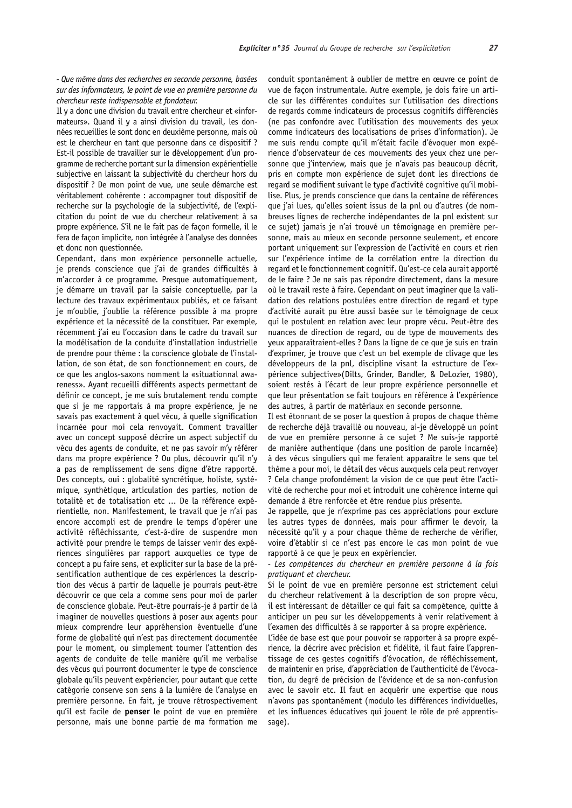- Que même dans des recherches en seconde personne, basées sur des informateurs, le point de vue en première personne du chercheur reste indispensable et fondateur.

Il y a donc une division du travail entre chercheur et «informateurs». Quand il y a ainsi division du travail, les données recueillies le sont donc en deuxième personne, mais où est le chercheur en tant que personne dans ce dispositif ? Est-il possible de travailler sur le développement d'un programme de recherche portant sur la dimension expérientielle subjective en laissant la subjectivité du chercheur hors du dispositif ? De mon point de vue, une seule démarche est véritablement cohérente : accompagner tout dispositif de recherche sur la psychologie de la subjectivité, de l'explicitation du point de vue du chercheur relativement à sa propre expérience. S'il ne le fait pas de facon formelle, il le fera de façon implicite, non intégrée à l'analyse des données et donc non questionnée.

Cependant, dans mon expérience personnelle actuelle, je prends conscience que j'ai de grandes difficultés à m'accorder à ce programme. Presque automatiquement, je démarre un travail par la saisie conceptuelle, par la lecture des travaux expérimentaux publiés, et ce faisant je m'oublie, j'oublie la référence possible à ma propre expérience et la nécessité de la constituer. Par exemple, récemment j'ai eu l'occasion dans le cadre du travail sur la modélisation de la conduite d'installation industrielle de prendre pour thème : la conscience globale de l'installation, de son état, de son fonctionnement en cours, de ce que les anglos-saxons nomment la «situationnal awareness». Ayant recueilli différents aspects permettant de définir ce concept, je me suis brutalement rendu compte que si je me rapportais à ma propre expérience, je ne savais pas exactement à quel vécu, à quelle signification incarnée pour moi cela renvoyait. Comment travailler avec un concept supposé décrire un aspect subjectif du vécu des agents de conduite, et ne pas savoir m'y référer dans ma propre expérience ? Ou plus, découvrir qu'il n'y a pas de remplissement de sens digne d'être rapporté. Des concepts, oui : alobalité syncrétique, holiste, systémique, synthétique, articulation des parties, notion de totalité et de totalisation etc ... De la référence expérientielle, non. Manifestement, le travail que je n'ai pas encore accompli est de prendre le temps d'opérer une activité réfléchissante, c'est-à-dire de suspendre mon activité pour prendre le temps de laisser venir des expériences singulières par rapport auxquelles ce type de concept a pu faire sens, et expliciter sur la base de la présentification authentique de ces expériences la description des vécus à partir de laquelle je pourrais peut-être découvrir ce que cela a comme sens pour moi de parler de conscience globale. Peut-être pourrais-je à partir de là imaginer de nouvelles questions à poser aux agents pour mieux comprendre leur appréhension éventuelle d'une forme de globalité qui n'est pas directement documentée pour le moment, ou simplement tourner l'attention des agents de conduite de telle manière qu'il me verbalise des vécus qui pourront documenter le type de conscience globale qu'ils peuvent expériencier, pour autant que cette catégorie conserve son sens à la lumière de l'analyse en première personne. En fait, je trouve rétrospectivement qu'il est facile de **penser** le point de vue en première personne, mais une bonne partie de ma formation me

conduit spontanément à oublier de mettre en œuvre ce point de vue de façon instrumentale. Autre exemple, je dois faire un article sur les différentes conduites sur l'utilisation des directions de regards comme indicateurs de processus cognitifs différenciés (ne pas confondre avec l'utilisation des mouvements des yeux comme indicateurs des localisations de prises d'information). Je me suis rendu compte qu'il m'était facile d'évoquer mon expérience d'observateur de ces mouvements des veux chez une personne que j'interview, mais que je n'avais pas beaucoup décrit, pris en compte mon expérience de sujet dont les directions de regard se modifient suivant le type d'activité cognitive qu'il mobilise. Plus, je prends conscience que dans la centaine de références que j'ai lues, qu'elles soient issus de la pnl ou d'autres (de nombreuses lignes de recherche indépendantes de la pnl existent sur ce sujet) jamais je n'ai trouvé un témoignage en première personne, mais au mieux en seconde personne seulement, et encore portant uniquement sur l'expression de l'activité en cours et rien sur l'expérience intime de la corrélation entre la direction du regard et le fonctionnement cognitif. Qu'est-ce cela aurait apporté de le faire ? Je ne sais pas répondre directement, dans la mesure où le travail reste à faire. Cependant on peut imaginer que la validation des relations postulées entre direction de regard et type d'activité aurait pu être aussi basée sur le témoignage de ceux qui le postulent en relation avec leur propre vécu. Peut-être des nuances de direction de regard, ou de type de mouvements des veux apparaîtraient-elles ? Dans la ligne de ce que je suis en train d'exprimer, je trouve que c'est un bel exemple de clivage que les développeurs de la pnl, discipline visant la «structure de l'expérience subjective»(Dilts, Grinder, Bandler, & DeLozier, 1980), soient restés à l'écart de leur propre expérience personnelle et que leur présentation se fait toujours en référence à l'expérience des autres, à partir de matériaux en seconde personne.

Il est étonnant de se poser la question à propos de chaque thème de recherche déjà travaillé ou nouveau, ai-je développé un point de vue en première personne à ce sujet ? Me suis-je rapporté de manière authentique (dans une position de parole incarnée) à des vécus singuliers qui me feraient apparaître le sens que tel thème a pour moi, le détail des vécus auxquels cela peut renvoyer ? Cela change profondément la vision de ce que peut être l'activité de recherche pour moi et introduit une cohérence interne qui demande à être renforcée et être rendue plus présente.

Je rappelle, que je n'exprime pas ces appréciations pour exclure les autres types de données, mais pour affirmer le devoir, la nécessité qu'il y a pour chaque thème de recherche de vérifier, voire d'établir si ce n'est pas encore le cas mon point de vue rapporté à ce que je peux en expériencier.

- Les compétences du chercheur en première personne à la fois pratiquant et chercheur.

Si le point de vue en première personne est strictement celui du chercheur relativement à la description de son propre vécu. il est intéressant de détailler ce qui fait sa compétence, quitte à anticiper un peu sur les développements à venir relativement à l'examen des difficultés à se rapporter à sa propre expérience.

L'idée de base est que pour pouvoir se rapporter à sa propre expérience, la décrire avec précision et fidélité, il faut faire l'apprentissage de ces gestes cognitifs d'évocation, de réfléchissement, de maintenir en prise, d'appréciation de l'authenticité de l'évocation, du degré de précision de l'évidence et de sa non-confusion avec le savoir etc. Il faut en acquérir une expertise que nous n'avons pas spontanément (modulo les différences individuelles, et les influences éducatives qui jouent le rôle de pré apprentissage).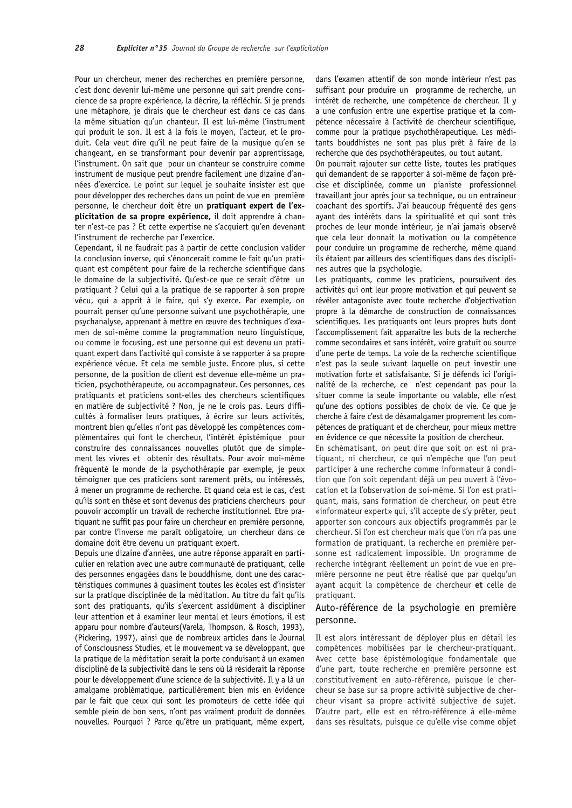Pour un chercheur, mener des recherches en première personne, c'est donc devenir lui-même une personne qui sait prendre conscience de sa propre expérience, la décrire, la réfléchir. Si je prends une métaphore, je dirais que le chercheur est dans ce cas dans la même situation qu'un chanteur. Il est lui-même l'instrument qui produit le son. Il est à la fois le moyen, l'acteur, et le produit. Cela veut dire qu'il ne peut faire de la musique qu'en se changeant, en se transformant pour devenir par apprentissage, l'instrument. On sait que pour un chanteur se construire comme instrument de musique peut prendre facilement une dizaine d'années d'exercice. Le point sur lequel je souhaite insister est que pour développer des recherches dans un point de vue en première personne, le chercheur doit être un pratiquant expert de l'explicitation de sa propre expérience, il doit apprendre à chanter n'est-ce pas ? Et cette expertise ne s'acquiert qu'en devenant l'instrument de recherche par l'exercice.

Cependant, il ne faudrait pas à partir de cette conclusion valider la conclusion inverse, qui s'énoncerait comme le fait qu'un pratiquant est compétent pour faire de la recherche scientifique dans le domaine de la subjectivité. Qu'est-ce que ce serait d'être un pratiquant ? Celui qui a la pratique de se rapporter à son propre vécu, qui a apprit à le faire, qui s'y exerce. Par exemple, on pourrait penser qu'une personne suivant une psychothérapie, une psychanalyse, apprenant à mettre en œuvre des techniques d'examen de soi-même comme la programmation neuro linguistique, ou comme le focusing, est une personne qui est devenu un pratiquant expert dans l'activité qui consiste à se rapporter à sa propre expérience vécue. Et cela me semble juste. Encore plus, si cette personne, de la position de client est devenue elle-même un praticien, psychothérapeute, ou accompagnateur. Ces personnes, ces pratiquants et praticiens sont-elles des chercheurs scientifiques en matière de subjectivité ? Non, je ne le crois pas. Leurs difficultés à formaliser leurs pratiques, à écrire sur leurs activités, montrent bien qu'elles n'ont pas développé les compétences complémentaires qui font le chercheur, l'intérêt épistémique pour construire des connaissances nouvelles plutôt que de simplement les vivres et obtenir des résultats. Pour avoir moi-même fréquenté le monde de la psychothérapie par exemple, je peux témoigner que ces praticiens sont rarement prêts, ou intéressés, à mener un programme de recherche. Et quand cela est le cas, c'est qu'ils sont en thèse et sont devenus des praticiens chercheurs pour pouvoir accomplir un travail de recherche institutionnel. Etre pratiquant ne suffit pas pour faire un chercheur en première personne, par contre l'inverse me paraît obligatoire, un chercheur dans ce domaine doit être devenu un pratiquant expert.

Depuis une dizaine d'années, une autre réponse apparaît en particulier en relation avec une autre communauté de pratiquant, celle des personnes engagées dans le bouddhisme, dont une des caractéristiques communes à quasiment toutes les écoles est d'insister sur la pratique disciplinée de la méditation. Au titre du fait qu'ils sont des pratiquants, qu'ils s'exercent assidûment à discipliner leur attention et à examiner leur mental et leurs émotions, il est apparu pour nombre d'auteurs (Varela, Thompson, & Rosch, 1993), (Pickering, 1997), ainsi que de nombreux articles dans le Journal of Consciousness Studies, et le mouvement va se développant, que la pratique de la méditation serait la porte conduisant à un examen discipliné de la subjectivité dans le sens où là résiderait la réponse pour le développement d'une science de la subjectivité. Il y a là un amalgame problématique, particulièrement bien mis en évidence par le fait que ceux qui sont les promoteurs de cette idée qui semble plein de bon sens, n'ont pas vraiment produit de données nouvelles. Pourquoi ? Parce qu'être un pratiquant, même expert,

dans l'examen attentif de son monde intérieur n'est pas suffisant pour produire un programme de recherche, un intérêt de recherche, une compétence de chercheur. Il y a une confusion entre une expertise pratique et la compétence nécessaire à l'activité de chercheur scientifique, comme pour la pratique psychothérapeutique. Les méditants bouddhistes ne sont pas plus prêt à faire de la recherche que des psychothérapeutes, ou tout autant.

On pourrait rajouter sur cette liste, toutes les pratiques qui demandent de se rapporter à soi-même de façon précise et disciplinée, comme un pianiste professionnel travaillant jour après jour sa technique, ou un entraîneur coachant des sportifs. J'ai beaucoup fréquenté des gens ayant des intérêts dans la spiritualité et qui sont très proches de leur monde intérieur, je n'ai jamais observé que cela leur donnait la motivation ou la compétence pour conduire un programme de recherche, même quand ils étaient par ailleurs des scientifiques dans des disciplines autres que la psychologie.

Les pratiquants, comme les praticiens, poursuivent des activités qui ont leur propre motivation et qui peuvent se révéler antagoniste avec toute recherche d'objectivation propre à la démarche de construction de connaissances scientifiques. Les pratiquants ont leurs propres buts dont l'accomplissement fait apparaître les buts de la recherche comme secondaires et sans intérêt, voire gratuit ou source d'une perte de temps. La voie de la recherche scientifique n'est pas la seule suivant laquelle on peut investir une motivation forte et satisfaisante. Si je défends ici l'originalité de la recherche, ce n'est cependant pas pour la situer comme la seule importante ou valable, elle n'est qu'une des options possibles de choix de vie. Ce que je cherche à faire c'est de désamalgamer proprement les compétences de pratiquant et de chercheur, pour mieux mettre en évidence ce que nécessite la position de chercheur.

En schématisant, on peut dire que soit on est ni pratiquant, ni chercheur, ce qui n'empêche que l'on peut participer à une recherche comme informateur à condition que l'on soit cependant déjà un peu ouvert à l'évocation et la l'observation de soi-même. Si l'on est pratiquant, mais, sans formation de chercheur, on peut être «informateur expert» qui, s'il accepte de s'y prêter, peut apporter son concours aux objectifs programmés par le chercheur. Si l'on est chercheur mais que l'on n'a pas une formation de pratiquant, la recherche en première personne est radicalement impossible. Un programme de recherche intégrant réellement un point de vue en première personne ne peut être réalisé que par quelqu'un avant acquit la compétence de chercheur et celle de pratiquant.

# Auto-référence de la psychologie en première personne.

Il est alors intéressant de déployer plus en détail les compétences mobilisées par le chercheur-pratiquant. Avec cette base épistémologique fondamentale que d'une part, toute recherche en première personne est constitutivement en auto-référence, puisque le chercheur se base sur sa propre activité subjective de chercheur visant sa propre activité subjective de sujet. D'autre part, elle est en rétro-référence à elle-même dans ses résultats, puisque ce qu'elle vise comme objet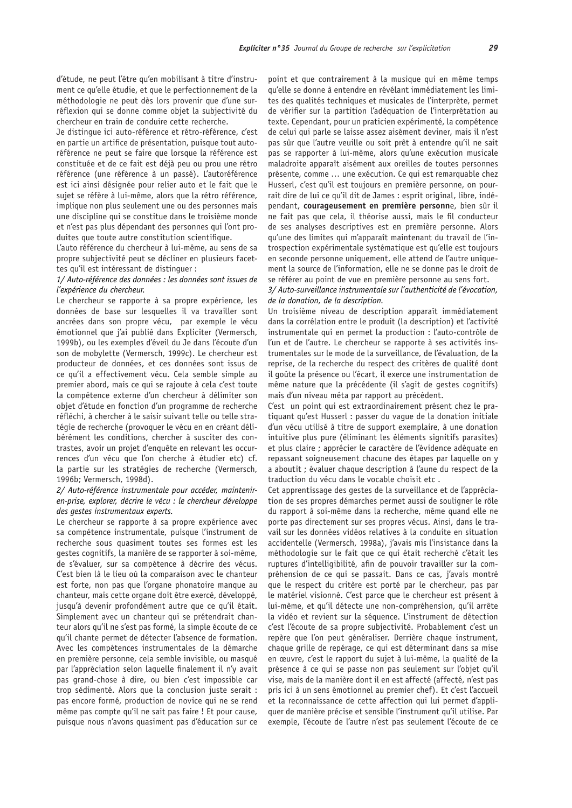d'étude, ne peut l'être qu'en mobilisant à titre d'instrument ce qu'elle étudie, et que le perfectionnement de la méthodologie ne peut dès lors provenir que d'une surréflexion qui se donne comme objet la subjectivité du chercheur en train de conduire cette recherche.

Je distinque ici auto-référence et rétro-référence, c'est en partie un artifice de présentation, puisque tout autoréférence ne peut se faire que lorsque la référence est constituée et de ce fait est déjà peu ou prou une rétro référence (une référence à un passé). L'autoréférence est ici ainsi désignée pour relier auto et le fait que le sujet se réfère à lui-même, alors que la rétro référence, implique non plus seulement une ou des personnes mais une discipline qui se constitue dans le troisième monde et n'est pas plus dépendant des personnes qui l'ont produites que toute autre constitution scientifique.

L'auto référence du chercheur à lui-même, au sens de sa propre subjectivité peut se décliner en plusieurs facettes qu'il est intéressant de distinguer :

# 1/ Auto-référence des données : les données sont issues de l'expérience du chercheur.

Le chercheur se rapporte à sa propre expérience, les données de base sur lesquelles il va travailler sont ancrées dans son propre vécu, par exemple le vécu émotionnel que j'ai publié dans Expliciter (Vermersch, 1999b), ou les exemples d'éveil du Je dans l'écoute d'un son de mobylette (Vermersch, 1999c). Le chercheur est producteur de données, et ces données sont issus de ce qu'il a effectivement vécu. Cela semble simple au premier abord, mais ce qui se rajoute à cela c'est toute la compétence externe d'un chercheur à délimiter son objet d'étude en fonction d'un programme de recherche réfléchi, à chercher à le saisir suivant telle ou telle stratégie de recherche (provoquer le vécu en en créant délibérément les conditions, chercher à susciter des contrastes, avoir un projet d'enquête en relevant les occurrences d'un vécu que l'on cherche à étudier etc) cf. la partie sur les stratégies de recherche (Vermersch, 1996b: Vermersch, 1998d).

#### 2/ Auto-référence instrumentale pour accéder, mainteniren-prise, explorer, décrire le vécu : le chercheur développe des gestes instrumentaux experts.

Le chercheur se rapporte à sa propre expérience avec sa compétence instrumentale, puisque l'instrument de recherche sous quasiment toutes ses formes est les gestes cognitifs, la manière de se rapporter à soi-même, de s'évaluer, sur sa compétence à décrire des vécus. C'est bien là le lieu où la comparaison avec le chanteur est forte, non pas que l'organe phonatoire manque au chanteur, mais cette organe doit être exercé, développé, jusqu'à devenir profondément autre que ce qu'il était. Simplement avec un chanteur qui se prétendrait chanteur alors qu'il ne s'est pas formé, la simple écoute de ce qu'il chante permet de détecter l'absence de formation. Avec les compétences instrumentales de la démarche en première personne, cela semble invisible, ou masqué par l'appréciation selon laquelle finalement il n'y avait pas grand-chose à dire, ou bien c'est impossible car trop sédimenté. Alors que la conclusion juste serait : pas encore formé, production de novice qui ne se rend même pas compte qu'il ne sait pas faire ! Et pour cause, puisque nous n'avons quasiment pas d'éducation sur ce

point et que contrairement à la musique qui en même temps qu'elle se donne à entendre en révélant immédiatement les limites des qualités techniques et musicales de l'interprète, permet de vérifier sur la partition l'adéquation de l'interprétation au texte. Cependant, pour un praticien expérimenté, la compétence de celui qui parle se laisse assez aisément deviner, mais il n'est pas sûr que l'autre veuille ou soit prêt à entendre qu'il ne sait pas se rapporter à lui-même, alors qu'une exécution musicale maladroite apparaît aisément aux oreilles de toutes personnes présente, comme ... une exécution. Ce qui est remarquable chez Husserl, c'est qu'il est toujours en première personne, on pourrait dire de lui ce qu'il dit de James : esprit original, libre, indépendant, courageusement en première personne, bien sûr il ne fait pas que cela, il théorise aussi, mais le fil conducteur de ses analyses descriptives est en première personne. Alors qu'une des limites qui m'apparaît maintenant du travail de l'introspection expérimentale systématique est qu'elle est toujours en seconde personne uniquement, elle attend de l'autre uniquement la source de l'information, elle ne se donne pas le droit de se référer au point de vue en première personne au sens fort.

#### 3/ Auto-surveillance instrumentale sur l'authenticité de l'évocation, de la donation, de la description.

Un troisième niveau de description apparaît immédiatement dans la corrélation entre le produit (la description) et l'activité instrumentale qui en permet la production : l'auto-contrôle de l'un et de l'autre. Le chercheur se rapporte à ses activités instrumentales sur le mode de la surveillance, de l'évaluation, de la reprise, de la recherche du respect des critères de qualité dont il goûte la présence ou l'écart, il exerce une instrumentation de même nature que la précédente (il s'agit de gestes cognitifs) mais d'un niveau méta par rapport au précédent.

C'est un point qui est extraordinairement présent chez le pratiquant qu'est Husserl : passer du vaque de la donation initiale d'un vécu utilisé à titre de support exemplaire, à une donation intuitive plus pure (éliminant les éléments signitifs parasites) et plus claire ; apprécier le caractère de l'évidence adéquate en repassant soigneusement chacune des étapes par laquelle on y a aboutit ; évaluer chaque description à l'aune du respect de la traduction du vécu dans le vocable choisit etc.

Cet apprentissage des gestes de la surveillance et de l'appréciation de ses propres démarches permet aussi de souligner le rôle du rapport à soi-même dans la recherche, même quand elle ne porte pas directement sur ses propres vécus. Ainsi, dans le travail sur les données vidéos relatives à la conduite en situation accidentelle (Vermersch, 1998a), j'avais mis l'insistance dans la méthodologie sur le fait que ce qui était recherché c'était les ruptures d'intelligibilité, afin de pouvoir travailler sur la compréhension de ce qui se passait. Dans ce cas, j'avais montré que le respect du critère est porté par le chercheur, pas par le matériel visionné. C'est parce que le chercheur est présent à lui-même, et qu'il détecte une non-compréhension, qu'il arrête la vidéo et revient sur la séquence. L'instrument de détection c'est l'écoute de sa propre subjectivité. Probablement c'est un repère que l'on peut généraliser. Derrière chaque instrument, chaque grille de repérage, ce qui est déterminant dans sa mise en œuvre, c'est le rapport du sujet à lui-même, la qualité de la présence à ce qui se passe non pas seulement sur l'objet qu'il vise, mais de la manière dont il en est affecté (affecté, n'est pas pris ici à un sens émotionnel au premier chef). Et c'est l'accueil et la reconnaissance de cette affection qui lui permet d'appliquer de manière précise et sensible l'instrument qu'il utilise. Par exemple, l'écoute de l'autre n'est pas seulement l'écoute de ce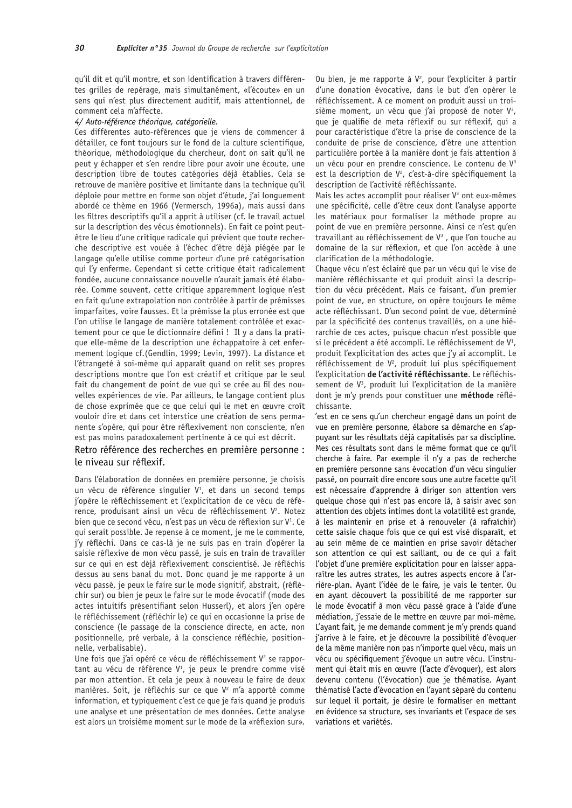qu'il dit et qu'il montre, et son identification à travers différentes grilles de repérage, mais simultanément, «l'écoute» en un sens qui n'est plus directement auditif, mais attentionnel, de comment cela m'affecte.

#### 4/ Auto-référence théorique, catégorielle.

Ces différentes auto-références que je viens de commencer à détailler, ce font toujours sur le fond de la culture scientifique, théorique, méthodologique du chercheur, dont on sait qu'il ne peut y échapper et s'en rendre libre pour avoir une écoute, une description libre de toutes catégories déjà établies. Cela se retrouve de manière positive et limitante dans la technique qu'il déploie pour mettre en forme son objet d'étude, j'ai lonquement abordé ce thème en 1966 (Vermersch, 1996a), mais aussi dans les filtres descriptifs qu'il a apprit à utiliser (cf. le travail actuel sur la description des vécus émotionnels). En fait ce point peutêtre le lieu d'une critique radicale qui prévient que toute recherche descriptive est vouée à l'échec d'être déjà piégée par le langage qu'elle utilise comme porteur d'une pré catégorisation qui l'y enferme. Cependant si cette critique était radicalement fondée, aucune connaissance nouvelle n'aurait jamais été élaborée. Comme souvent, cette critique apparemment logique n'est en fait qu'une extrapolation non contrôlée à partir de prémisses imparfaites, voire fausses. Et la prémisse la plus erronée est que l'on utilise le langage de manière totalement contrôlée et exactement pour ce que le dictionnaire défini ! Il y a dans la pratique elle-même de la description une échappatoire à cet enfermement logique cf. (Gendlin, 1999; Levin, 1997). La distance et l'étrangeté à soi-même qui apparaît quand on relit ses propres descriptions montre que l'on est créatif et critique par le seul fait du changement de point de vue qui se crée au fil des nouvelles expériences de vie. Par ailleurs, le langage contient plus de chose exprimée que ce que celui qui le met en œuvre croît vouloir dire et dans cet interstice une création de sens permanente s'opère, qui pour être réflexivement non consciente, n'en est pas moins paradoxalement pertinente à ce qui est décrit.

# Retro référence des recherches en première personne : le niveau sur réflexif.

Dans l'élaboration de données en première personne, je choisis un vécu de référence singulier  $V^1$ , et dans un second temps j'opère le réfléchissement et l'explicitation de ce vécu de référence, produisant ainsi un vécu de réfléchissement V<sup>2</sup>. Notez bien que ce second vécu, n'est pas un vécu de réflexion sur V<sup>1</sup>. Ce qui serait possible. Je repense à ce moment, je me le commente, j'y réfléchi. Dans ce cas-là je ne suis pas en train d'opérer la saisie réflexive de mon vécu passé, je suis en train de travailler sur ce qui en est déjà réflexivement conscientisé. Je réfléchis dessus au sens banal du mot. Donc quand je me rapporte à un vécu passé, je peux le faire sur le mode signitif, abstrait, (réfléchir sur) ou bien je peux le faire sur le mode évocatif (mode des actes intuitifs présentifiant selon Husserl), et alors j'en opère le réfléchissement (réfléchir le) ce qui en occasionne la prise de conscience (le passage de la conscience directe, en acte, non positionnelle, pré verbale, à la conscience réfléchie, positionnelle, verbalisable).

Une fois que j'ai opéré ce vécu de réfléchissement  $V^2$  se rapportant au vécu de référence  $V^1$ , je peux le prendre comme visé par mon attention. Et cela je peux à nouveau le faire de deux manières. Soit, je réfléchis sur ce que V<sup>2</sup> m'a apporté comme information, et typiquement c'est ce que je fais quand je produis une analyse et une présentation de mes données. Cette analyse est alors un troisième moment sur le mode de la «réflexion sur».

Ou bien, je me rapporte à V<sup>2</sup>, pour l'expliciter à partir d'une donation évocative, dans le but d'en opérer le réfléchissement. A ce moment on produit aussi un troisième moment, un vécu que j'ai proposé de noter V<sup>3</sup>, que je qualifie de meta réflexif ou sur réflexif, qui a pour caractéristique d'être la prise de conscience de la conduite de prise de conscience, d'être une attention particulière portée à la manière dont je fais attention à un vécu pour en prendre conscience. Le contenu de V<sup>3</sup> est la description de V<sup>2</sup>, c'est-à-dire spécifiquement la description de l'activité réfléchissante.

Mais les actes accomplit pour réaliser V<sup>3</sup> ont eux-mêmes une spécificité, celle d'être ceux dont l'analyse apporte les matériaux pour formaliser la méthode propre au point de vue en première personne. Ainsi ce n'est qu'en travaillant au réfléchissement de V<sup>3</sup>, que l'on touche au domaine de la sur réflexion, et que l'on accède à une clarification de la méthodologie.

Chaque vécu n'est éclairé que par un vécu qui le vise de manière réfléchissante et qui produit ainsi la description du vécu précédent. Mais ce faisant, d'un premier point de vue, en structure, on opère toujours le même acte réfléchissant. D'un second point de vue, déterminé par la spécificité des contenus travaillés, on a une hiérarchie de ces actes, puisque chacun n'est possible que si le précédent a été accompli. Le réfléchissement de V<sup>1</sup>, produit l'explicitation des actes que j'y ai accomplit. Le réfléchissement de V<sup>2</sup>, produit lui plus spécifiquement l'explicitation de l'activité réfléchissante. Le réfléchissement de V<sup>3</sup>, produit lui l'explicitation de la manière dont je m'y prends pour constituer une méthode réfléchissante.

'est en ce sens qu'un chercheur engagé dans un point de vue en première personne, élabore sa démarche en s'appuyant sur les résultats déjà capitalisés par sa discipline. Mes ces résultats sont dans le même format que ce qu'il cherche à faire. Par exemple il n'y a pas de recherche en première personne sans évocation d'un vécu singulier passé, on pourrait dire encore sous une autre facette qu'il est nécessaire d'apprendre à diriger son attention vers quelque chose qui n'est pas encore là, à saisir avec son attention des objets intimes dont la volatilité est grande, à les maintenir en prise et à renouveler (à rafraîchir) cette saisie chaque fois que ce qui est visé disparaît, et au sein même de ce maintien en prise savoir détacher son attention ce qui est saillant, ou de ce qui a fait l'objet d'une première explicitation pour en laisser apparaître les autres strates, les autres aspects encore à l'arrière-plan. Avant l'idée de le faire, je vais le tenter. Ou en ayant découvert la possibilité de me rapporter sur le mode évocatif à mon vécu passé grace à l'aide d'une médiation, j'essaie de le mettre en œuvre par moi-même. L'ayant fait, je me demande comment je m'y prends quand j'arrive à le faire, et je découvre la possibilité d'évoquer de la même manière non pas n'importe quel vécu, mais un vécu ou spécifiquement j'évoque un autre vécu. L'instrument qui était mis en œuvre (l'acte d'évoquer), est alors devenu contenu (l'évocation) que je thématise. Ayant thématisé l'acte d'évocation en l'ayant séparé du contenu sur lequel il portait, je désire le formaliser en mettant en évidence sa structure, ses invariants et l'espace de ses variations et variétés.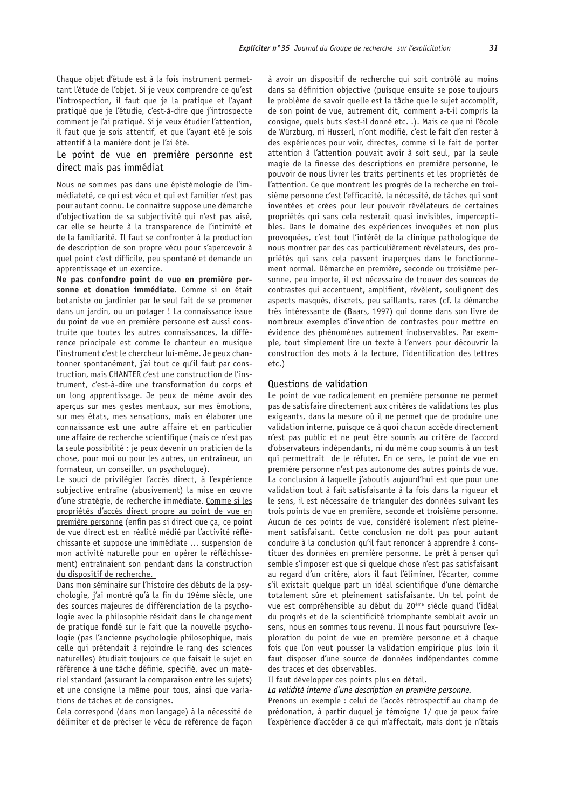Chaque objet d'étude est à la fois instrument permettant l'étude de l'objet. Si je veux comprendre ce qu'est l'introspection, il faut que je la pratique et l'ayant pratiqué que je l'étudie, c'est-à-dire que j'introspecte comment je l'ai pratiqué. Si je veux étudier l'attention, il faut que je sois attentif, et que l'ayant été je sois attentif à la manière dont je l'ai été.

# Le point de vue en première personne est direct mais pas immédiat

Nous ne sommes pas dans une épistémologie de l'immédiateté, ce qui est vécu et qui est familier n'est pas pour autant connu. Le connaître suppose une démarche d'objectivation de sa subjectivité qui n'est pas aisé, car elle se heurte à la transparence de l'intimité et de la familiarité. Il faut se confronter à la production de description de son propre vécu pour s'apercevoir à quel point c'est difficile, peu spontané et demande un apprentissage et un exercice.

Ne pas confondre point de vue en première personne et donation immédiate. Comme si on était botaniste ou jardinier par le seul fait de se promener dans un jardin, ou un potager ! La connaissance issue du point de vue en première personne est aussi construite que toutes les autres connaissances, la différence principale est comme le chanteur en musique l'instrument c'est le chercheur lui-même. Je peux chantonner spontanément, j'ai tout ce qu'il faut par construction, mais CHANTER c'est une construction de l'instrument, c'est-à-dire une transformation du corps et un long apprentissage. Je peux de même avoir des apercus sur mes gestes mentaux, sur mes émotions, sur mes états, mes sensations, mais en élaborer une connaissance est une autre affaire et en particulier une affaire de recherche scientifique (mais ce n'est pas la seule possibilité : je peux devenir un praticien de la chose, pour moi ou pour les autres, un entraîneur, un formateur, un conseiller, un psychologue).

Le souci de privilégier l'accès direct, à l'expérience subjective entraîne (abusivement) la mise en œuvre d'une stratégie, de recherche immédiate. Comme si les propriétés d'accès direct propre au point de vue en première personne (enfin pas si direct que ça, ce point de vue direct est en réalité médié par l'activité réfléchissante et suppose une immédiate ... suspension de mon activité naturelle pour en opérer le réfléchissement) entraînaient son pendant dans la construction du dispositif de recherche.

Dans mon séminaire sur l'histoire des débuts de la psychologie, j'ai montré qu'à la fin du 19éme siècle, une des sources majeures de différenciation de la psychologie avec la philosophie résidait dans le changement de pratique fondé sur le fait que la nouvelle psychologie (pas l'ancienne psychologie philosophique, mais celle qui prétendait à rejoindre le rang des sciences naturelles) étudiait toujours ce que faisait le sujet en référence à une tâche définie, spécifié, avec un matériel standard (assurant la comparaison entre les sujets) et une consigne la même pour tous, ainsi que variations de tâches et de consignes.

Cela correspond (dans mon langage) à la nécessité de délimiter et de préciser le vécu de référence de façon à avoir un dispositif de recherche qui soit contrôlé au moins dans sa définition objective (puisque ensuite se pose toujours le problème de savoir quelle est la tâche que le sujet accomplit, de son point de vue, autrement dit, comment a-t-il compris la consigne, quels buts s'est-il donné etc. .). Mais ce que ni l'école de Würzburg, ni Husserl, n'ont modifié, c'est le fait d'en rester à des expériences pour voir, directes, comme si le fait de porter attention à l'attention pouvait avoir à soit seul, par la seule magie de la finesse des descriptions en première personne, le pouvoir de nous livrer les traits pertinents et les propriétés de l'attention. Ce que montrent les progrès de la recherche en troisième personne c'est l'efficacité, la nécessité, de tâches qui sont inventées et crées pour leur pouvoir révélateurs de certaines propriétés qui sans cela resterait quasi invisibles, imperceptibles. Dans le domaine des expériences invoquées et non plus provoguées, c'est tout l'intérêt de la clinique pathologique de nous montrer par des cas particulièrement révélateurs, des propriétés qui sans cela passent inapercues dans le fonctionnement normal. Démarche en première, seconde ou troisième personne, peu importe, il est nécessaire de trouver des sources de contrastes qui accentuent, amplifient, révèlent, soulignent des aspects masqués, discrets, peu saillants, rares (cf. la démarche très intéressante de (Baars, 1997) qui donne dans son livre de nombreux exemples d'invention de contrastes pour mettre en évidence des phénomènes autrement inobservables. Par exemple, tout simplement lire un texte à l'envers pour découvrir la construction des mots à la lecture, l'identification des lettres  $etc.$ )

#### Questions de validation

Le point de vue radicalement en première personne ne permet pas de satisfaire directement aux critères de validations les plus exigeants, dans la mesure où il ne permet que de produire une validation interne, puisque ce à quoi chacun accède directement n'est pas public et ne peut être soumis au critère de l'accord d'observateurs indépendants, ni du même coup soumis à un test qui permettrait de le réfuter. En ce sens, le point de vue en première personne n'est pas autonome des autres points de vue. La conclusion à laquelle i'aboutis aujourd'hui est que pour une validation tout à fait satisfaisante à la fois dans la riqueur et le sens, il est nécessaire de trianguler des données suivant les trois points de vue en première, seconde et troisième personne. Aucun de ces points de vue, considéré isolement n'est pleinement satisfaisant. Cette conclusion ne doit pas pour autant conduire à la conclusion qu'il faut renoncer à apprendre à constituer des données en première personne. Le prêt à penser qui semble s'imposer est que si quelque chose n'est pas satisfaisant au regard d'un critère, alors il faut l'éliminer, l'écarter, comme s'il existait quelque part un idéal scientifique d'une démarche totalement sûre et pleinement satisfaisante. Un tel point de vue est compréhensible au début du 20<sup>ème</sup> siècle quand l'idéal du progrès et de la scientificité triomphante semblait avoir un sens, nous en sommes tous revenu. Il nous faut poursuivre l'exploration du point de vue en première personne et à chaque fois que l'on veut pousser la validation empirique plus loin il faut disposer d'une source de données indépendantes comme des traces et des observables.

Il faut développer ces points plus en détail.

La validité interne d'une description en première personne.

Prenons un exemple : celui de l'accès rétrospectif au champ de prédonation, à partir duquel je témoigne 1/ que je peux faire l'expérience d'accéder à ce qui m'affectait, mais dont je n'étais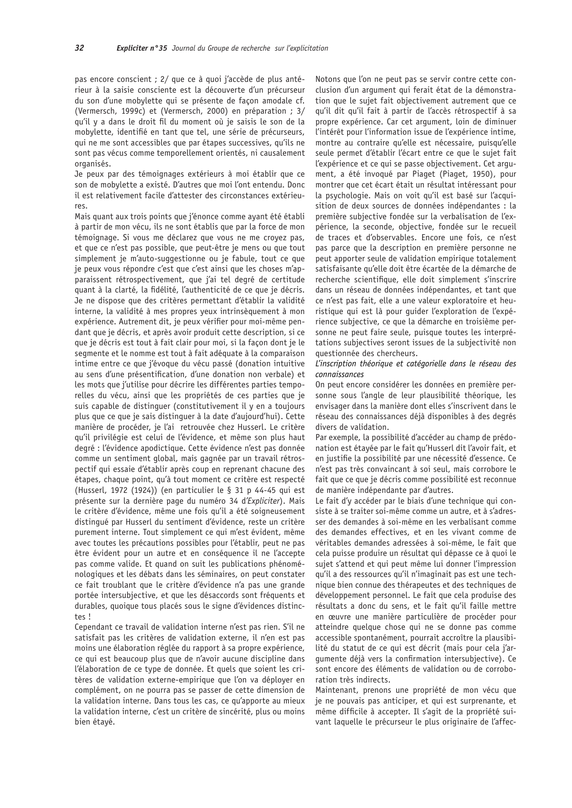pas encore conscient ; 2/ que ce à quoi j'accède de plus antérieur à la saisie consciente est la découverte d'un précurseur du son d'une mobylette qui se présente de façon amodale cf. (Vermersch, 1999c) et (Vermersch, 2000) en préparation ; 3/ qu'il y a dans le droit fil du moment où je saisis le son de la mobylette, identifié en tant que tel, une série de précurseurs, qui ne me sont accessibles que par étapes successives, qu'ils ne sont pas vécus comme temporellement orientés, ni causalement organisés.

Je peux par des témoignages extérieurs à moi établir que ce son de mobylette a existé. D'autres que moi l'ont entendu. Donc il est relativement facile d'attester des circonstances extérieu $res$ 

Mais quant aux trois points que j'énonce comme ayant été établi à partir de mon vécu, ils ne sont établis que par la force de mon témoignage. Si vous me déclarez que vous ne me croyez pas, et que ce n'est pas possible, que peut-être je mens ou que tout simplement je m'auto-suggestionne ou je fabule, tout ce que je peux vous répondre c'est que c'est ainsi que les choses m'apparaissent rétrospectivement, que j'ai tel degré de certitude quant à la clarté, la fidélité, l'authenticité de ce que je décris. Je ne dispose que des critères permettant d'établir la validité interne, la validité à mes propres yeux intrinsèquement à mon expérience. Autrement dit, je peux vérifier pour moi-même pendant que je décris, et après avoir produit cette description, si ce que je décris est tout à fait clair pour moi, si la façon dont je le segmente et le nomme est tout à fait adéquate à la comparaison intime entre ce que j'évoque du vécu passé (donation intuitive au sens d'une présentification, d'une donation non verbale) et les mots que j'utilise pour décrire les différentes parties temporelles du vécu, ainsi que les propriétés de ces parties que je suis capable de distinguer (constitutivement il y en a toujours plus que ce que je sais distinguer à la date d'aujourd'hui). Cette manière de procéder, je l'ai retrouvée chez Husserl. Le critère qu'il privilégie est celui de l'évidence, et même son plus haut degré : l'évidence apodictique. Cette évidence n'est pas donnée comme un sentiment global, mais gagnée par un travail rétrospectif qui essaie d'établir après coup en reprenant chacune des étapes, chaque point, qu'à tout moment ce critère est respecté (Husserl, 1972 (1924)) (en particulier le  $\S$  31 p 44-45 qui est présente sur la dernière page du numéro 34 d'Expliciter). Mais le critère d'évidence, même une fois qu'il a été soigneusement distingué par Husserl du sentiment d'évidence, reste un critère purement interne. Tout simplement ce qui m'est évident, même avec toutes les précautions possibles pour l'établir, peut ne pas être évident pour un autre et en conséquence il ne l'accepte pas comme valide. Et quand on suit les publications phénoménologiques et les débats dans les séminaires, on peut constater ce fait troublant que le critère d'évidence n'a pas une grande portée intersubiective, et que les désaccords sont fréquents et durables, quoique tous placés sous le signe d'évidences distinctes!

Cependant ce travail de validation interne n'est pas rien. S'il ne satisfait pas les critères de validation externe, il n'en est pas moins une élaboration réglée du rapport à sa propre expérience, ce qui est beaucoup plus que de n'avoir aucune discipline dans l'élaboration de ce type de donnée. Et quels que soient les critères de validation externe-empirique que l'on va déployer en complément, on ne pourra pas se passer de cette dimension de la validation interne. Dans tous les cas, ce qu'apporte au mieux la validation interne, c'est un critère de sincérité, plus ou moins bien étavé.

Notons que l'on ne peut pas se servir contre cette conclusion d'un argument qui ferait état de la démonstration que le sujet fait objectivement autrement que ce qu'il dit qu'il fait à partir de l'accès rétrospectif à sa propre expérience. Car cet argument, loin de diminuer l'intérêt pour l'information issue de l'expérience intime, montre au contraire qu'elle est nécessaire, puisqu'elle seule permet d'établir l'écart entre ce que le sujet fait l'expérience et ce qui se passe objectivement. Cet arqument, a été invoqué par Piaget (Piaget, 1950), pour montrer que cet écart était un résultat intéressant pour la psychologie. Mais on voit qu'il est basé sur l'acquisition de deux sources de données indépendantes : la première subjective fondée sur la verbalisation de l'expérience, la seconde, objective, fondée sur le recueil de traces et d'observables. Encore une fois, ce n'est pas parce que la description en première personne ne peut apporter seule de validation empirique totalement satisfaisante qu'elle doit être écartée de la démarche de recherche scientifique, elle doit simplement s'inscrire dans un réseau de données indépendantes, et tant que ce n'est pas fait, elle a une valeur exploratoire et heuristique qui est là pour quider l'exploration de l'expérience subjective, ce que la démarche en troisième personne ne peut faire seule, puisque toutes les interprétations subjectives seront issues de la subjectivité non questionnée des chercheurs.

#### L'inscription théorique et catégorielle dans le réseau des connaissances

On peut encore considérer les données en première personne sous l'angle de leur plausibilité théorique, les envisager dans la manière dont elles s'inscrivent dans le réseau des connaissances déjà disponibles à des degrés divers de validation.

Par exemple, la possibilité d'accéder au champ de prédonation est étayée par le fait qu'Husserl dit l'avoir fait, et en justifie la possibilité par une nécessité d'essence. Ce n'est pas très convaincant à soi seul, mais corrobore le fait que ce que je décris comme possibilité est reconnue de manière indépendante par d'autres.

Le fait d'y accéder par le biais d'une technique qui consiste à se traiter soi-même comme un autre, et à s'adresser des demandes à soi-même en les verbalisant comme des demandes effectives, et en les vivant comme de véritables demandes adressées à soi-même, le fait que cela puisse produire un résultat qui dépasse ce à quoi le sujet s'attend et qui peut même lui donner l'impression qu'il a des ressources qu'il n'imaginait pas est une technique bien connue des thérapeutes et des techniques de développement personnel. Le fait que cela produise des résultats a donc du sens, et le fait qu'il faille mettre en œuvre une manière particulière de procéder pour atteindre quelque chose qui ne se donne pas comme accessible spontanément, pourrait accroître la plausibilité du statut de ce qui est décrit (mais pour cela j'argumente déjà vers la confirmation intersubjective). Ce sont encore des éléments de validation ou de corroboration très indirects.

Maintenant, prenons une propriété de mon vécu que je ne pouvais pas anticiper, et qui est surprenante, et même difficile à accepter. Il s'agit de la propriété suivant laquelle le précurseur le plus originaire de l'affec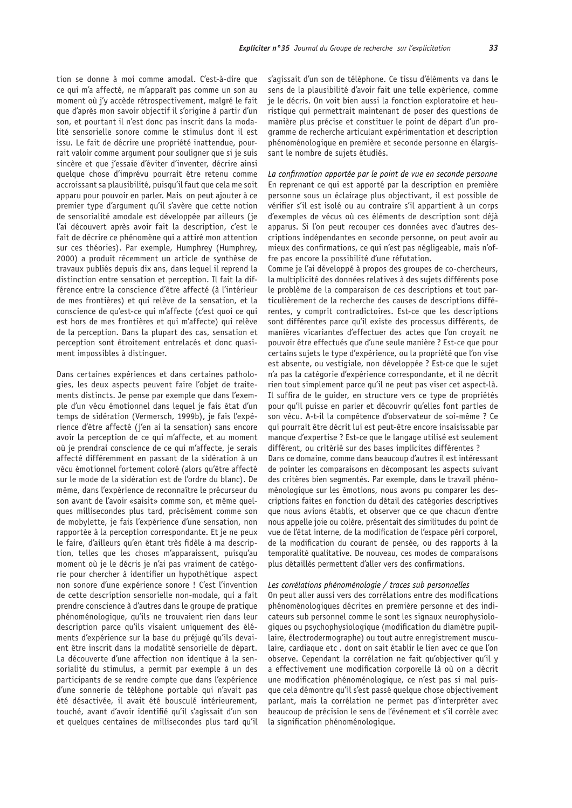tion se donne à moi comme amodal. C'est-à-dire que ce qui m'a affecté, ne m'apparaît pas comme un son au moment où j'y accède rétrospectivement, malgré le fait que d'après mon savoir objectif il s'origine à partir d'un son, et pourtant il n'est donc pas inscrit dans la modalité sensorielle sonore comme le stimulus dont il est issu. Le fait de décrire une propriété inattendue, pourrait valoir comme argument pour souligner que si je suis sincère et que j'essaie d'éviter d'inventer, décrire ainsi quelque chose d'imprévu pourrait être retenu comme accroissant sa plausibilité, puisqu'il faut que cela me soit apparu pour pouvoir en parler. Mais on peut ajouter à ce premier type d'argument qu'il s'avère que cette notion de sensorialité amodale est développée par ailleurs (je l'ai découvert après avoir fait la description, c'est le fait de décrire ce phénomène qui a attiré mon attention sur ces théories). Par exemple, Humphrey (Humphrey, 2000) a produit récemment un article de synthèse de travaux publiés depuis dix ans, dans lequel il reprend la distinction entre sensation et perception. Il fait la différence entre la conscience d'être affecté (à l'intérieur de mes frontières) et qui relève de la sensation, et la conscience de qu'est-ce qui m'affecte (c'est quoi ce qui est hors de mes frontières et qui m'affecte) qui relève de la perception. Dans la plupart des cas, sensation et perception sont étroitement entrelacés et donc quasiment impossibles à distinguer.

Dans certaines expériences et dans certaines pathologies, les deux aspects peuvent faire l'objet de traitements distincts. Je pense par exemple que dans l'exemple d'un vécu émotionnel dans lequel je fais état d'un temps de sidération (Vermersch, 1999b), je fais l'expérience d'être affecté (j'en ai la sensation) sans encore avoir la perception de ce qui m'affecte, et au moment où je prendrai conscience de ce qui m'affecte, je serais affecté différemment en passant de la sidération à un vécu émotionnel fortement coloré (alors qu'être affecté sur le mode de la sidération est de l'ordre du blanc). De même, dans l'expérience de reconnaître le précurseur du son avant de l'avoir «saisit» comme son, et même quelques millisecondes plus tard, précisément comme son de mobylette, je fais l'expérience d'une sensation, non rapportée à la perception correspondante. Et je ne peux le faire, d'ailleurs qu'en étant très fidèle à ma description, telles que les choses m'apparaissent, puisqu'au moment où je le décris je n'ai pas vraiment de catégorie pour chercher à identifier un hypothétique aspect non sonore d'une expérience sonore ! C'est l'invention de cette description sensorielle non-modale, qui a fait prendre conscience à d'autres dans le groupe de pratique phénoménologique, qu'ils ne trouvaient rien dans leur description parce qu'ils visaient uniquement des éléments d'expérience sur la base du préjugé qu'ils devaient être inscrit dans la modalité sensorielle de départ. La découverte d'une affection non identique à la sensorialité du stimulus, a permit par exemple à un des participants de se rendre compte que dans l'expérience d'une sonnerie de téléphone portable qui n'avait pas été désactivée, il avait été bousculé intérieurement, touché, avant d'avoir identifié qu'il s'agissait d'un son et quelques centaines de millisecondes plus tard qu'il

s'agissait d'un son de téléphone. Ce tissu d'éléments va dans le sens de la plausibilité d'avoir fait une telle expérience, comme je le décris. On voit bien aussi la fonction exploratoire et heuristique qui permettrait maintenant de poser des questions de manière plus précise et constituer le point de départ d'un programme de recherche articulant expérimentation et description phénoménologique en première et seconde personne en élargissant le nombre de sujets étudiés.

La confirmation apportée par le point de vue en seconde personne En reprenant ce qui est apporté par la description en première personne sous un éclairage plus objectivant, il est possible de vérifier s'il est isolé ou au contraire s'il appartient à un corps d'exemples de vécus où ces éléments de description sont déjà apparus. Si l'on peut recouper ces données avec d'autres descriptions indépendantes en seconde personne, on peut avoir au mieux des confirmations, ce qui n'est pas négligeable, mais n'offre pas encore la possibilité d'une réfutation.

Comme je l'ai développé à propos des groupes de co-chercheurs, la multiplicité des données relatives à des sujets différents pose le problème de la comparaison de ces descriptions et tout particulièrement de la recherche des causes de descriptions différentes, y comprit contradictoires. Est-ce que les descriptions sont différentes parce qu'il existe des processus différents, de manières vicariantes d'effectuer des actes que l'on croyait ne pouvoir être effectués que d'une seule manière ? Est-ce que pour certains sujets le type d'expérience, ou la propriété que l'on vise est absente, ou vestigiale, non développée ? Est-ce que le suiet n'a pas la catégorie d'expérience correspondante, et il ne décrit rien tout simplement parce qu'il ne peut pas viser cet aspect-là. Il suffira de le quider, en structure vers ce type de propriétés pour qu'il puisse en parler et découvrir qu'elles font parties de son vécu. A-t-il la compétence d'observateur de soi-même ? Ce qui pourrait être décrit lui est peut-être encore insaisissable par manque d'expertise ? Est-ce que le langage utilisé est seulement différent, ou critérié sur des bases implicites différentes ? Dans ce domaine, comme dans beaucoup d'autres il est intéressant de pointer les comparaisons en décomposant les aspects suivant des critères bien segmentés. Par exemple, dans le travail phénoménologique sur les émotions, nous avons pu comparer les descriptions faites en fonction du détail des catégories descriptives que nous avions établis, et observer que ce que chacun d'entre nous appelle joie ou colère, présentait des similitudes du point de vue de l'état interne, de la modification de l'espace péri corporel, de la modification du courant de pensée, ou des rapports à la temporalité qualitative. De nouveau, ces modes de comparaisons plus détaillés permettent d'aller vers des confirmations.

### Les corrélations phénoménologie / traces sub personnelles

On peut aller aussi vers des corrélations entre des modifications phénoménologiques décrites en première personne et des indicateurs sub personnel comme le sont les signaux neurophysiologiques ou psychophysiologique (modification du diamètre pupillaire, électrodermographe) ou tout autre enregistrement musculaire, cardiaque etc. dont on sait établir le lien avec ce que l'on observe. Cependant la corrélation ne fait qu'objectiver qu'il y a effectivement une modification corporelle là où on a décrit une modification phénoménologique, ce n'est pas si mal puisque cela démontre qu'il s'est passé quelque chose objectivement parlant, mais la corrélation ne permet pas d'interpréter avec beaucoup de précision le sens de l'événement et s'il corrèle avec la signification phénoménologique.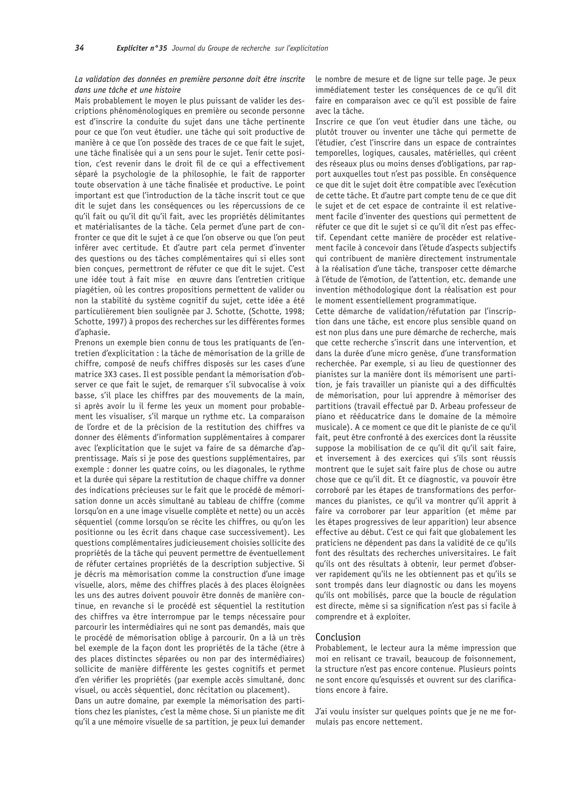# La validation des données en première personne doit être inscrite dans une tâche et une histoire

Mais probablement le moyen le plus puissant de valider les descriptions phénoménologiques en première ou seconde personne est d'inscrire la conduite du sujet dans une tâche pertinente pour ce que l'on veut étudier, une tâche qui soit productive de manière à ce que l'on possède des traces de ce que fait le sujet, une tâche finalisée qui a un sens pour le sujet. Tenir cette position, c'est revenir dans le droit fil de ce qui a effectivement séparé la psychologie de la philosophie, le fait de rapporter toute observation à une tâche finalisée et productive. Le point important est que l'introduction de la tâche inscrit tout ce que dit le sujet dans les conséquences ou les répercussions de ce qu'il fait ou qu'il dit qu'il fait, avec les propriétés délimitantes et matérialisantes de la tâche. Cela permet d'une part de confronter ce que dit le sujet à ce que l'on observe ou que l'on peut inférer avec certitude. Et d'autre part cela permet d'inventer des questions ou des tâches complémentaires qui si elles sont bien concues, permettront de réfuter ce que dit le sujet. C'est une idée tout à fait mise en œuvre dans l'entretien critique piagétien, où les contres propositions permettent de valider ou non la stabilité du système cognitif du sujet, cette idée a été particulièrement bien soulignée par J. Schotte, (Schotte, 1998; Schotte, 1997) à propos des recherches sur les différentes formes d'aphasie.

Prenons un exemple bien connu de tous les pratiquants de l'entretien d'explicitation : la tâche de mémorisation de la grille de chiffre, composé de neufs chiffres disposés sur les cases d'une matrice 3X3 cases. Il est possible pendant la mémorisation d'observer ce que fait le sujet, de remarquer s'il subvocalise à voix basse, s'il place les chiffres par des mouvements de la main, si après avoir lu il ferme les yeux un moment pour probablement les visualiser, s'il marque un rythme etc. La comparaison de l'ordre et de la précision de la restitution des chiffres va donner des éléments d'information supplémentaires à comparer avec l'explicitation que le sujet va faire de sa démarche d'apprentissage. Mais si je pose des questions supplémentaires, par exemple : donner les quatre coins, ou les diagonales, le rythme et la durée qui sépare la restitution de chaque chiffre va donner des indications précieuses sur le fait que le procédé de mémorisation donne un accès simultané au tableau de chiffre (comme lorsqu'on en a une image visuelle complète et nette) ou un accès séquentiel (comme lorsqu'on se récite les chiffres, ou qu'on les positionne ou les écrit dans chaque case successivement). Les questions complémentaires judicieusement choisies sollicite des propriétés de la tâche qui peuvent permettre de éventuellement de réfuter certaines propriétés de la description subjective. Si je décris ma mémorisation comme la construction d'une image visuelle, alors, même des chiffres placés à des places éloignées les uns des autres doivent pouvoir être donnés de manière continue, en revanche si le procédé est séquentiel la restitution des chiffres va être interrompue par le temps nécessaire pour parcourir les intermédiaires qui ne sont pas demandés, mais que le procédé de mémorisation oblige à parcourir. On a là un très bel exemple de la façon dont les propriétés de la tâche (être à des places distinctes séparées ou non par des intermédiaires) sollicite de manière différente les gestes cognitifs et permet d'en vérifier les propriétés (par exemple accès simultané, donc visuel, ou accès séquentiel, donc récitation ou placement).

Dans un autre domaine, par exemple la mémorisation des partitions chez les pianistes, c'est la même chose. Si un pianiste me dit qu'il a une mémoire visuelle de sa partition, je peux lui demander le nombre de mesure et de ligne sur telle page. Je peux immédiatement tester les conséquences de ce qu'il dit faire en comparaison avec ce qu'il est possible de faire avec la tâche.

Inscrire ce que l'on veut étudier dans une tâche, ou plutôt trouver ou inventer une tâche qui permette de l'étudier, c'est l'inscrire dans un espace de contraintes temporelles, logiques, causales, matérielles, qui créent des réseaux plus ou moins denses d'obligations, par rapport auxquelles tout n'est pas possible. En conséquence ce que dit le sujet doit être compatible avec l'exécution de cette tâche. Et d'autre part compte tenu de ce que dit le sujet et de cet espace de contrainte il est relativement facile d'inventer des questions qui permettent de réfuter ce que dit le sujet si ce qu'il dit n'est pas effectif. Cependant cette manière de procéder est relativement facile à concevoir dans l'étude d'aspects subjectifs qui contribuent de manière directement instrumentale à la réalisation d'une tâche, transposer cette démarche à l'étude de l'émotion, de l'attention, etc. demande une invention méthodologique dont la réalisation est pour le moment essentiellement programmatique.

Cette démarche de validation/réfutation par l'inscription dans une tâche, est encore plus sensible quand on est non plus dans une pure démarche de recherche, mais que cette recherche s'inscrit dans une intervention, et dans la durée d'une micro genèse, d'une transformation recherchée. Par exemple, si au lieu de questionner des pianistes sur la manière dont ils mémorisent une partition, je fais travailler un pianiste qui a des difficultés de mémorisation, pour lui apprendre à mémoriser des partitions (travail effectué par D. Arbeau professeur de piano et rééducatrice dans le domaine de la mémoire musicale). A ce moment ce que dit le pianiste de ce qu'il fait, peut être confronté à des exercices dont la réussite suppose la mobilisation de ce qu'il dit qu'il sait faire, et inversement à des exercices qui s'ils sont réussis montrent que le sujet sait faire plus de chose ou autre chose que ce qu'il dit. Et ce diagnostic, va pouvoir être corroboré par les étapes de transformations des performances du pianistes, ce qu'il va montrer qu'il apprit à faire va corroborer par leur apparition (et même par les étapes progressives de leur apparition) leur absence effective au début. C'est ce qui fait que globalement les praticiens ne dépendent pas dans la validité de ce qu'ils font des résultats des recherches universitaires. Le fait qu'ils ont des résultats à obtenir, leur permet d'observer rapidement qu'ils ne les obtiennent pas et qu'ils se sont trompés dans leur diagnostic ou dans les moyens qu'ils ont mobilisés, parce que la boucle de régulation est directe, même si sa signification n'est pas si facile à comprendre et à exploiter.

#### Conclusion

Probablement, le lecteur aura la même impression que moi en relisant ce travail, beaucoup de foisonnement, la structure n'est pas encore contenue. Plusieurs points ne sont encore qu'esquissés et ouvrent sur des clarifications encore à faire.

J'ai voulu insister sur quelques points que je ne me formulais pas encore nettement.